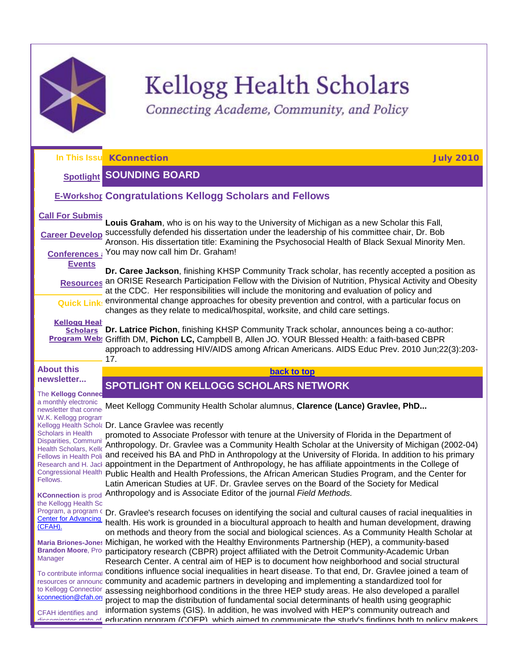

# **Kellogg Health Scholars**

<span id="page-0-1"></span>Connecting Academe, Community, and Policy

<span id="page-0-0"></span>**In This Issu [Spotlight](#page-0-0) [E-Workshops](#page-1-0) Congratulations Kellogg Scholars and Fellows Call For Submis Career Develop** successfully defended his dissertation under the leadership of his committee chair, Dr. Bob **Conferences and [Events](#page-12-0) [Resources](#page-13-0)** an ORISE Research Participation Fellow with the Division of Nutrition, Physical Activity and Obesity **Quick Links Kellogg Heal [Scholars](http://r20.rs6.net/tn.jsp?et=1103551297306&s=1&e=001d51HKlfIzMjv2JfQvj1sLglLArwBAVHvGWHz_x9CcIcxNbDm8U-NKklJ8JK3weQB_ib7nFL9J_Y9m8Dqv09oaD39BVDNj49gPtTzFzaa9Ej1V2Neh66mkKxd8dUdPFkN)  [Program](http://r20.rs6.net/tn.jsp?et=1103551297306&s=1&e=001d51HKlfIzMjv2JfQvj1sLglLArwBAVHvGWHz_x9CcIcxNbDm8U-NKklJ8JK3weQB_ib7nFL9J_Y9m8Dqv09oaD39BVDNj49gPtTzFzaa9Ej1V2Neh66mkKxd8dUdPFkN) Web: Griffith DM, Pichon LC,** Campbell B, Allen JO. YOUR Blessed Health: a faith-based CBPR **About this newsletter... The Kellogg Conned** a monthly electronic newsletter that conne W.K. Kellogg program Kellogg Health Schola Dr. Lance Gravlee was recently Scholars in Health Disparities, Communit Health Scholars, Kello Fellows in Health Poli and received his BA and PhD in Anthropology at the University of Florida. In addition to his primary Research and H. Jack appointment in the Department of Anthropology, he has affiliate appointments in the College of Congressional Health Public Health and Health Professions, the African American Studies Program, and the Center for Fellows. KConnection is prod. Anthropology and is Associate Editor of the journal *Field Methods.* the Kellogg Health Sc Program, a program c Dr. Gravlee's research focuses on identifying the social and cultural causes of racial inequalities in Center for Advancing [\(CFAH\).](http://r20.rs6.net/tn.jsp?et=1103551297306&s=1&e=001d51HKlfIzMgk50scwzLrznTq4CfddgOBSkJ0buC22Rp1zryPBp3fwa0HAmjN6PEO8bLWbCjyZvpLdJwNHOCOu9IomuBj8-MqwP_wc0-K5Zc=) Maria Briones-Jones Michigan, he worked with the Healthy Environments Partnership (HEP), a community-based **Brandon Moore, Production Manager**  $\tau$ o contribute informat **conditions influence social inequalities in heart disease. To that end, Dr. Gravlee joined a team of** resources or announc community and academic partners in developing and implementing a standardized tool for to Kellogg Connectior kconnection@cfah.org CFAH identifies and disseminates state of **e**ducation program (COEP), which aimed to communicate the study's findings both to policy makers, **KConnection July 2010 SOUNDING BOARD Louis Graham**, who is on his way to the University of Michigan as a new Scholar this Fall, Aronson. His dissertation title: Examining the Psychosocial Health of Black Sexual Minority Men. You may now call him Dr. Graham! **Dr. Caree Jackson**, finishing KHSP Community Track scholar, has recently accepted a position as at the CDC. Her responsibilities will include the monitoring and evaluation of policy and environmental change approaches for obesity prevention and control, with a particular focus on changes as they relate to medical/hospital, worksite, and child care settings. **Dr. Latrice Pichon**, finishing KHSP Community Track scholar, announces being a co-author: approach to addressing HIV/AIDS among African Americans. AIDS Educ Prev. 2010 Jun;22(3):203- 17. **[back to top](#page-0-1) SPOTLIGHT ON KELLOGG SCHOLARS NETWORK** Meet Kellogg Community Health Scholar alumnus, **Clarence (Lance) Gravlee, PhD...** promoted to Associate Professor with tenure at the University of Florida in the Department of Anthropology. Dr. Gravlee was a Community Health Scholar at the University of Michigan (2002-04) Latin American Studies at UF. Dr. Gravlee serves on the Board of the Society for Medical health. His work is grounded in a biocultural approach to health and human development, drawing on methods and theory from the social and biological sciences. As a Community Health Scholar at participatory research (CBPR) project affiliated with the Detroit Community-Academic Urban Research Center. A central aim of HEP is to document how neighborhood and social structural assessing neighborhood conditions in the three HEP study areas. He also developed a parallel project to map the distribution of fundamental social determinants of health using geographic information systems (GIS). In addition, he was involved with HEP's community outreach and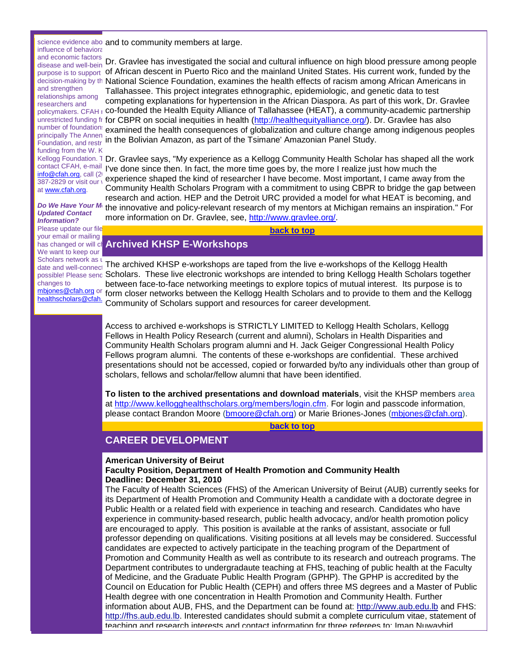influence of behavioral and economic factors  $\Box$ and strengthen relationships among researchers and principally The Annen

Foundation, and restr funding from the W.K. contact CFAH, e-mail [info@cfah.org,](mailto:info@cfah.org) call (20 387-2829 or visit our v at [www.cfah.org.](http://r20.rs6.net/tn.jsp?et=1103551297306&s=1&e=001d51HKlfIzMgk50scwzLrznTq4CfddgOBSkJ0buC22Rp1zryPBp3fwa0HAmjN6PEO8bLWbCjyZvpLdJwNHOCOu9IomuBj8-MqwP_wc0-K5Zc=)

#### *Do We Have Your M Updated Contact Information?*

Please update our file your email or mailing has changed or will ch We want to keep our |<br>Scholars network as u Scholars network as upchanges to [mbjones@cfah.org](mailto:mbjones@cfah.org) or

healthscholars@cfah.

science evidence abo and to community members at large.

disease and well-bein Dr. Gravlee has investigated the social and cultural influence on high blood pressure among people <sub>purpose is to support of African descent in Puerto Rico and the mainland United States. His current work, funded by the</sub> decision-making by th National Science Foundation, examines the health effects of racism among African Americans in <sub>policymakers. СFАН г</sub> **co-founded the Health Equity Alliance of Tallahassee (HEAT), a community-academic partnership** unrestricted funding fr **for CBPR on social inequities in health (<u>http://healthequityalliance.org/</u>). Dr. Gravlee has also** number of foundation: examined the health consequences of globalization and culture change among indigenous peoples Tallahassee. This project integrates ethnographic, epidemiologic, and genetic data to test competing explanations for hypertension in the African Diaspora. As part of this work, Dr. Gravlee in the Bolivian Amazon, as part of the Tsimane' Amazonian Panel Study.

Kellogg Foundation. 1 Dr. Gravlee says, "My experience as a Kellogg Community Health Scholar has shaped all the work I've done since then. In fact, the more time goes by, the more I realize just how much the experience shaped the kind of researcher I have become. Most important, I came away from the Community Health Scholars Program with a commitment to using CBPR to bridge the gap between research and action. HEP and the Detroit URC provided a model for what HEAT is becoming, and the innovative and policy-relevant research of my mentors at Michigan remains an inspiration." For more information on Dr. Gravlee, see, [http://www.gravlee.org/.](http://r20.rs6.net/tn.jsp?et=1103551297306&s=1&e=001d51HKlfIzMiNaxiLxJWD80_Gh8AS6hxVAjCus8NrgEiOy-QO2O8ANEVKGcqdoV-b4oeNCWa4wb-gnazJhSzqc-MfiTlHifXrLeRmU2-NHIM=)

**[back to top](#page-0-1)**

# <span id="page-1-0"></span>**Archived KHSP E-Workshops**

date and well-connect The archived KHSP e-workshops are taped from the live e-workshops of the Kellogg Health <sub>possible! Please senc</sub> Scholars. These live electronic workshops are intended to bring Kellogg Health Scholars together between face-to-face networking meetings to explore topics of mutual interest. Its purpose is to form closer networks between the Kellogg Health Scholars and to provide to them and the Kellogg Community of Scholars support and resources for career development.

> Access to archived e-workshops is STRICTLY LIMITED to Kellogg Health Scholars, Kellogg Fellows in Health Policy Research (current and alumni), Scholars in Health Disparities and Community Health Scholars program alumni and H. Jack Geiger Congressional Health Policy Fellows program alumni. The contents of these e-workshops are confidential. These archived presentations should not be accessed, copied or forwarded by/to any individuals other than group of scholars, fellows and scholar/fellow alumni that have been identified.

**To listen to the archived presentations and download materials**, visit the KHSP members area at [http://www.kellogghealthscholars.org/members/login.cfm.](http://r20.rs6.net/tn.jsp?et=1103551297306&s=1&e=001d51HKlfIzMjgnqsxWuQf3cd_iU5S_31Bo9Okk9maklgULQmUttq6tZIRdQZUjD4ItJXPTse9kBREnc7EMnaqHuV5CvTGDH77mMAQSOvK_UPZhdpJwlOff_iF80NSPIjpdsqcXOrCbsyKjPOd1XGysQ==) For login and passcode information, please contact Brandon Moore [\(bmoore@cfah.org\)](mailto:bmoore@cfah.org) or Marie Briones-Jones [\(mbjones@cfah.org\)](mailto:mbjones@cfah.org).

**[back to top](#page-0-1)**

# <span id="page-1-1"></span>**CAREER DEVELOPMENT**

#### **American University of Beirut Faculty Position, Department of Health Promotion and Community Health Deadline: December 31, 2010**

The Faculty of Health Sciences (FHS) of the American University of Beirut (AUB) currently seeks for its Department of Health Promotion and Community Health a candidate with a doctorate degree in Public Health or a related field with experience in teaching and research. Candidates who have experience in community-based research, public health advocacy, and/or health promotion policy are encouraged to apply. This position is available at the ranks of assistant, associate or full professor depending on qualifications. Visiting positions at all levels may be considered. Successful candidates are expected to actively participate in the teaching program of the Department of Promotion and Community Health as well as contribute to its research and outreach programs. The Department contributes to undergradaute teaching at FHS, teaching of public health at the Faculty of Medicine, and the Graduate Public Health Program (GPHP). The GPHP is accredited by the Council on Education for Public Health (CEPH) and offers three MS degrees and a Master of Public Health degree with one concentration in Health Promotion and Community Health. Further information about AUB, FHS, and the Department can be found at: [http://www.aub.edu.lb](http://r20.rs6.net/tn.jsp?et=1103551297306&s=1&e=001d51HKlfIzMjl8lX6MjX1gfanY4pOLhrsVevC4tfIbhr4-NKGRtXtsi-z2R-WJC4G-eJ-fKuen5mtWrouxHKLLUxbee8h86hiQBmQBTJ-oEw=) and FHS: [http://fhs.aub.edu.lb.](http://r20.rs6.net/tn.jsp?et=1103551297306&s=1&e=001d51HKlfIzMi0wvoQQeR-BXwSR5HOug80q7T-NWOet5dM6ohRxGDE9akd2bUwJX7CAYwCywmvO7mB0H5BN2RMNSQ-8-X8Aejdqos0NvrXxBE=) Interested candidates should submit a complete curriculum vitae, statement of teaching and research interests and contact information for three referees to: Iman Nuwayhid,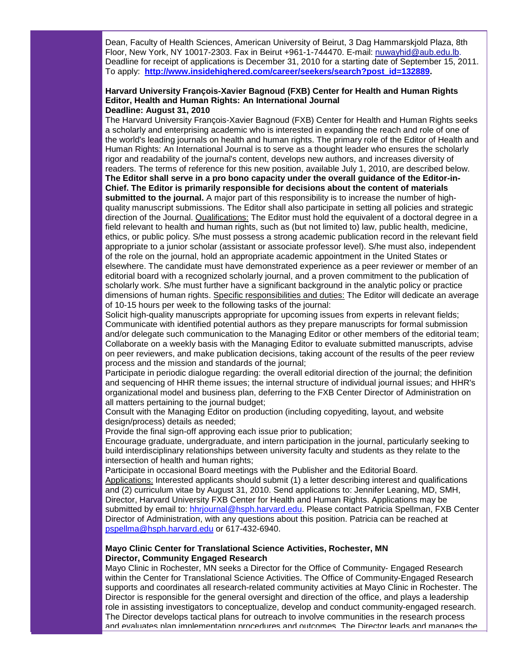Dean, Faculty of Health Sciences, American University of Beirut, 3 Dag Hammarskjold Plaza, 8th Floor, New York, NY 10017-2303. Fax in Beirut +961-1-744470. E-mail: [nuwayhid@aub.edu.lb.](mailto:nuwayhid@aub.edu.lb) Deadline for receipt of applications is December 31, 2010 for a starting date of September 15, 2011. To apply: **[http://www.insidehighered.com/career/seekers/search?post\\_id=132889.](http://r20.rs6.net/tn.jsp?et=1103551297306&s=1&e=001d51HKlfIzMhRm8O6nWWQNdqZDbnFxDXoSB_Du5OO6J1FGkk1hn2dOCjIFxA_AlQ7t0Z7XOqnKnzAvkNk1fnrh3u_tD4S-6bt1iDIgqAlpG5-SrH2dD0g548epqOm543V3mrce6q14ryoL1Fx2aCmyObkH_IBXc2K5d5yIG3HpqNxo9uJSZXkXg==)** 

#### **Harvard University François-Xavier Bagnoud (FXB) Center for Health and Human Rights Editor, Health and Human Rights: An International Journal Deadline: August 31, 2010**

The Harvard University François-Xavier Bagnoud (FXB) Center for Health and Human Rights seeks a scholarly and enterprising academic who is interested in expanding the reach and role of one of the world's leading journals on health and human rights. The primary role of the Editor of Health and Human Rights: An International Journal is to serve as a thought leader who ensures the scholarly rigor and readability of the journal's content, develops new authors, and increases diversity of readers. The terms of reference for this new position, available July 1, 2010, are described below. **The Editor shall serve in a pro bono capacity under the overall guidance of the Editor-in-Chief. The Editor is primarily responsible for decisions about the content of materials submitted to the journal.** A major part of this responsibility is to increase the number of highquality manuscript submissions. The Editor shall also participate in setting all policies and strategic direction of the Journal. Qualifications: The Editor must hold the equivalent of a doctoral degree in a field relevant to health and human rights, such as (but not limited to) law, public health, medicine, ethics, or public policy. S/he must possess a strong academic publication record in the relevant field appropriate to a junior scholar (assistant or associate professor level). S/he must also, independent of the role on the journal, hold an appropriate academic appointment in the United States or elsewhere. The candidate must have demonstrated experience as a peer reviewer or member of an editorial board with a recognized scholarly journal, and a proven commitment to the publication of scholarly work. S/he must further have a significant background in the analytic policy or practice dimensions of human rights. Specific responsibilities and duties: The Editor will dedicate an average of 10-15 hours per week to the following tasks of the journal:

Solicit high-quality manuscripts appropriate for upcoming issues from experts in relevant fields; Communicate with identified potential authors as they prepare manuscripts for formal submission and/or delegate such communication to the Managing Editor or other members of the editorial team; Collaborate on a weekly basis with the Managing Editor to evaluate submitted manuscripts, advise on peer reviewers, and make publication decisions, taking account of the results of the peer review process and the mission and standards of the journal;

Participate in periodic dialogue regarding: the overall editorial direction of the journal; the definition and sequencing of HHR theme issues; the internal structure of individual journal issues; and HHR's organizational model and business plan, deferring to the FXB Center Director of Administration on all matters pertaining to the journal budget;

Consult with the Managing Editor on production (including copyediting, layout, and website design/process) details as needed;

Provide the final sign-off approving each issue prior to publication;

Encourage graduate, undergraduate, and intern participation in the journal, particularly seeking to build interdisciplinary relationships between university faculty and students as they relate to the intersection of health and human rights;

Participate in occasional Board meetings with the Publisher and the Editorial Board. Applications: Interested applicants should submit (1) a letter describing interest and qualifications and (2) curriculum vitae by August 31, 2010. Send applications to: Jennifer Leaning, MD, SMH, Director, Harvard University FXB Center for Health and Human Rights. Applications may be submitted by email to: [hhrjournal@hsph.harvard.edu.](mailto:hhrjournal@hsph.harvard.edu) Please contact Patricia Spellman, FXB Center Director of Administration, with any questions about this position. Patricia can be reached at [pspellma@hsph.harvard.edu](mailto:pspellma@hsph.harvard.edu) or 617-432-6940.

#### **Mayo Clinic Center for Translational Science Activities, Rochester, MN Director, Community Engaged Research**

Mayo Clinic in Rochester, MN seeks a Director for the Office of Community- Engaged Research within the Center for Translational Science Activities. The Office of Community-Engaged Research supports and coordinates all research-related community activities at Mayo Clinic in Rochester. The Director is responsible for the general oversight and direction of the office, and plays a leadership role in assisting investigators to conceptualize, develop and conduct community-engaged research. The Director develops tactical plans for outreach to involve communities in the research process and evaluates plan implementation procedures and outcomes. The Director leads and manages the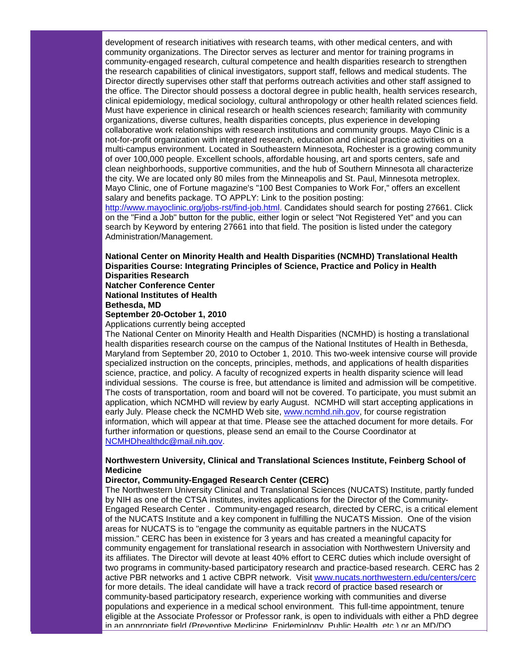development of research initiatives with research teams, with other medical centers, and with community organizations. The Director serves as lecturer and mentor for training programs in community-engaged research, cultural competence and health disparities research to strengthen the research capabilities of clinical investigators, support staff, fellows and medical students. The Director directly supervises other staff that performs outreach activities and other staff assigned to the office. The Director should possess a doctoral degree in public health, health services research, clinical epidemiology, medical sociology, cultural anthropology or other health related sciences field. Must have experience in clinical research or health sciences research; familiarity with community organizations, diverse cultures, health disparities concepts, plus experience in developing collaborative work relationships with research institutions and community groups. Mayo Clinic is a not-for-profit organization with integrated research, education and clinical practice activities on a multi-campus environment. Located in Southeastern Minnesota, Rochester is a growing community of over 100,000 people. Excellent schools, affordable housing, art and sports centers, safe and clean neighborhoods, supportive communities, and the hub of Southern Minnesota all characterize the city. We are located only 80 miles from the Minneapolis and St. Paul, Minnesota metroplex. Mayo Clinic, one of Fortune magazine's "100 Best Companies to Work For," offers an excellent salary and benefits package. TO APPLY: Link to the position posting:

[http://www.mayoclinic.org/jobs-rst/find-job.html.](http://r20.rs6.net/tn.jsp?et=1103551297306&s=1&e=001d51HKlfIzMhASTNeMGG0O7HJtKH_nSgJe8usBMDOu4Ax8rY4TsCyU_8UeKoRQXxm10eweeV7HCWC6lNQKa2gWXSCVtGwEKWNCp6su1xwgr-seElJkk1unDOeG4lFGc19XuYld04PAeM97FV5gjxAcw==) Candidates should search for posting 27661. Click on the "Find a Job" button for the public, either login or select "Not Registered Yet" and you can search by Keyword by entering 27661 into that field. The position is listed under the category Administration/Management.

**National Center on Minority Health and Health Disparities (NCMHD) Translational Health Disparities Course: Integrating Principles of Science, Practice and Policy in Health Disparities Research Natcher Conference Center**

**National Institutes of Health**

**Bethesda, MD**

#### **September 20-October 1, 2010**

Applications currently being accepted

The National Center on Minority Health and Health Disparities (NCMHD) is hosting a translational health disparities research course on the campus of the National Institutes of Health in Bethesda, Maryland from September 20, 2010 to October 1, 2010. This two-week intensive course will provide specialized instruction on the concepts, principles, methods, and applications of health disparities science, practice, and policy. A faculty of recognized experts in health disparity science will lead individual sessions. The course is free, but attendance is limited and admission will be competitive. The costs of transportation, room and board will not be covered. To participate, you must submit an application, which NCMHD will review by early August. NCMHD will start accepting applications in early July. Please check the NCMHD Web site, [www.ncmhd.nih.gov,](http://r20.rs6.net/tn.jsp?et=1103551297306&s=1&e=001d51HKlfIzMgk4l2kN-BtMT2xd63rSBi6BjDr8DL_4DffrEJZ-Y4YeDgJjg23uvjtLG9u5RuBY0zT30fqnmF7teqMqa41mY2nyEqJMQFVwV_WZ03BQCC8Yw==) for course registration information, which will appear at that time. Please see the attached document for more details. For further information or questions, please send an email to the Course Coordinator at [NCMHDhealthdc@mail.nih.gov.](mailto:NCMHDhealthdc@mail.nih.gov)

#### **Northwestern University, Clinical and Translational Sciences Institute, Feinberg School of Medicine**

#### **Director, Community-Engaged Research Center (CERC)**

The Northwestern University Clinical and Translational Sciences (NUCATS) Institute, partly funded by NIH as one of the CTSA institutes, invites applications for the Director of the Community-Engaged Research Center . Community-engaged research, directed by CERC, is a critical element of the NUCATS Institute and a key component in fulfilling the NUCATS Mission. One of the vision areas for NUCATS is to "engage the community as equitable partners in the NUCATS mission." CERC has been in existence for 3 years and has created a meaningful capacity for community engagement for translational research in association with Northwestern University and its affiliates. The Director will devote at least 40% effort to CERC duties which include oversight of two programs in community-based participatory research and practice-based research. CERC has 2 active PBR networks and 1 active CBPR network. Visit [www.nucats.northwestern.edu/centers/cerc](http://r20.rs6.net/tn.jsp?et=1103551297306&s=1&e=001d51HKlfIzMg32kVkgpt6e0XxVg_Njoqe8siJhrUZC5MFdmutN61sPOA-lOJ1tnceK3wb7XtG2Dcm3IkXmM_W_03o9QslD8dYjkldsJ9cUFJux5PsF1EJevB0YX7_X6giH8ymyhydXA4iA4kEEsQZ1A==) for more details. The ideal candidate will have a track record of practice based research or community-based participatory research, experience working with communities and diverse populations and experience in a medical school environment. This full-time appointment, tenure eligible at the Associate Professor or Professor rank, is open to individuals with either a PhD degree in an appropriate field (Preventive Medicine, Foidemiology, Public Health, etc.) or an MD/DO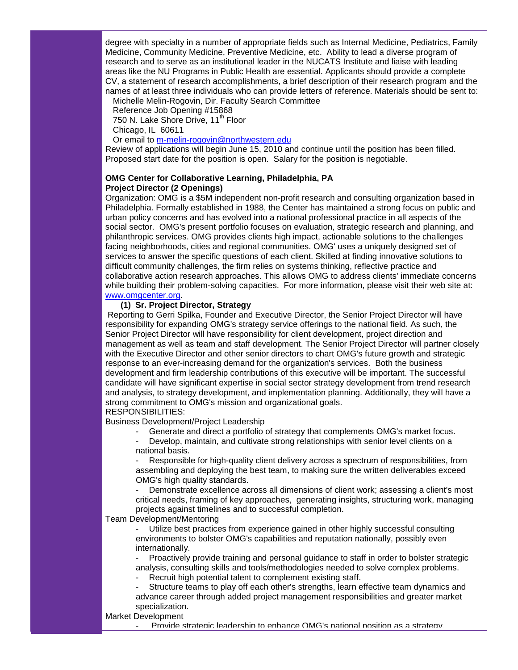degree with specialty in a number of appropriate fields such as Internal Medicine, Pediatrics, Family Medicine, Community Medicine, Preventive Medicine, etc. Ability to lead a diverse program of research and to serve as an institutional leader in the NUCATS Institute and liaise with leading areas like the NU Programs in Public Health are essential. Applicants should provide a complete CV, a statement of research accomplishments, a brief description of their research program and the names of at least three individuals who can provide letters of reference. Materials should be sent to:

Michelle Melin-Rogovin, Dir. Faculty Search Committee

Reference Job Opening #15868

750 N. Lake Shore Drive, 11<sup>th</sup> Floor

Chicago, IL 60611

Or email to [m-melin-rogovin@northwestern.edu](mailto:m-melin-rogovin@northwestern.edu)

Review of applications will begin June 15, 2010 and continue until the position has been filled. Proposed start date for the position is open. Salary for the position is negotiable.

#### **OMG Center for Collaborative Learning, Philadelphia, PA Project Director (2 Openings)**

Organization: OMG is a \$5M independent non-profit research and consulting organization based in Philadelphia. Formally established in 1988, the Center has maintained a strong focus on public and urban policy concerns and has evolved into a national professional practice in all aspects of the social sector. OMG's present portfolio focuses on evaluation, strategic research and planning, and philanthropic services. OMG provides clients high impact, actionable solutions to the challenges facing neighborhoods, cities and regional communities. OMG' uses a uniquely designed set of services to answer the specific questions of each client. Skilled at finding innovative solutions to difficult community challenges, the firm relies on systems thinking, reflective practice and collaborative action research approaches. This allows OMG to address clients' immediate concerns while building their problem-solving capacities. For more information, please visit their web site at: [www.omgcenter.org.](http://r20.rs6.net/tn.jsp?et=1103515739459&s=361&e=001ur5Wkn4NtxMiyJ9qidWrjcHDh2kskv2WqyRMThxbOtIJmg_30YxxNYMnYJzEGFWU1gQ3kc65ply8q6rzWHBTYEjgWyitfx27E8COzzZ4s8d0t3pgJyK8wg==)

#### **(1) Sr. Project Director, Strategy**

Reporting to Gerri Spilka, Founder and Executive Director, the Senior Project Director will have responsibility for expanding OMG's strategy service offerings to the national field. As such, the Senior Project Director will have responsibility for client development, project direction and management as well as team and staff development. The Senior Project Director will partner closely with the Executive Director and other senior directors to chart OMG's future growth and strategic response to an ever-increasing demand for the organization's services. Both the business development and firm leadership contributions of this executive will be important. The successful candidate will have significant expertise in social sector strategy development from trend research and analysis, to strategy development, and implementation planning. Additionally, they will have a strong commitment to OMG's mission and organizational goals.

## RESPONSIBILITIES:

Business Development/Project Leadership

Generate and direct a portfolio of strategy that complements OMG's market focus.

Develop, maintain, and cultivate strong relationships with senior level clients on a national basis.

Responsible for high-quality client delivery across a spectrum of responsibilities, from assembling and deploying the best team, to making sure the written deliverables exceed OMG's high quality standards.

Demonstrate excellence across all dimensions of client work; assessing a client's most critical needs, framing of key approaches, generating insights, structuring work, managing projects against timelines and to successful completion.

#### Team Development/Mentoring

Utilize best practices from experience gained in other highly successful consulting environments to bolster OMG's capabilities and reputation nationally, possibly even internationally.

Proactively provide training and personal guidance to staff in order to bolster strategic analysis, consulting skills and tools/methodologies needed to solve complex problems.

Recruit high potential talent to complement existing staff.

Structure teams to play off each other's strengths, learn effective team dynamics and advance career through added project management responsibilities and greater market specialization.

#### Market Development

Provide strategic leadership to enhance OMG's national position as a strategy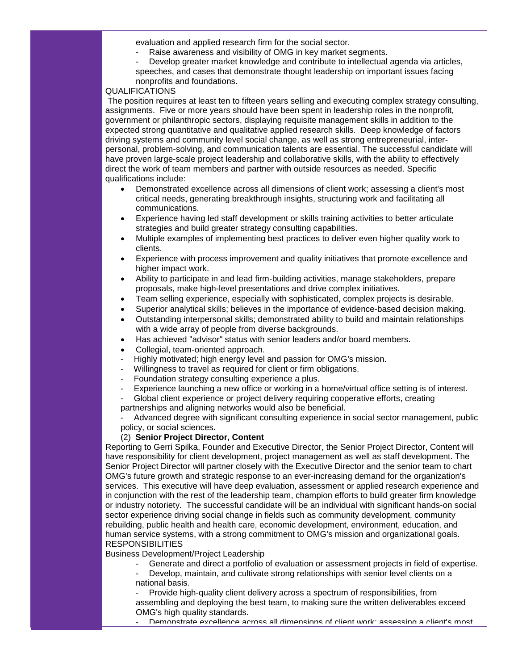evaluation and applied research firm for the social sector.

- Raise awareness and visibility of OMG in key market segments.
- Develop greater market knowledge and contribute to intellectual agenda via articles, speeches, and cases that demonstrate thought leadership on important issues facing nonprofits and foundations.

#### QUALIFICATIONS

The position requires at least ten to fifteen years selling and executing complex strategy consulting, assignments. Five or more years should have been spent in leadership roles in the nonprofit, government or philanthropic sectors, displaying requisite management skills in addition to the expected strong quantitative and qualitative applied research skills. Deep knowledge of factors driving systems and community level social change, as well as strong entrepreneurial, interpersonal, problem-solving, and communication talents are essential. The successful candidate will have proven large-scale project leadership and collaborative skills, with the ability to effectively direct the work of team members and partner with outside resources as needed. Specific qualifications include:

- Demonstrated excellence across all dimensions of client work; assessing a client's most critical needs, generating breakthrough insights, structuring work and facilitating all communications.
- Experience having led staff development or skills training activities to better articulate strategies and build greater strategy consulting capabilities.
- Multiple examples of implementing best practices to deliver even higher quality work to clients.
- Experience with process improvement and quality initiatives that promote excellence and higher impact work.
- Ability to participate in and lead firm-building activities, manage stakeholders, prepare proposals, make high-level presentations and drive complex initiatives.
- Team selling experience, especially with sophisticated, complex projects is desirable.
- Superior analytical skills; believes in the importance of evidence-based decision making.
- Outstanding interpersonal skills; demonstrated ability to build and maintain relationships with a wide array of people from diverse backgrounds.
- Has achieved "advisor" status with senior leaders and/or board members.
- Collegial, team-oriented approach.
- Highly motivated; high energy level and passion for OMG's mission.
- Willingness to travel as required for client or firm obligations.
- Foundation strategy consulting experience a plus.
- Experience launching a new office or working in a home/virtual office setting is of interest.
- Global client experience or project delivery requiring cooperative efforts, creating partnerships and aligning networks would also be beneficial.

Advanced degree with significant consulting experience in social sector management, public policy, or social sciences.

#### (2) **Senior Project Director, Content**

Reporting to Gerri Spilka, Founder and Executive Director, the Senior Project Director, Content will have responsibility for client development, project management as well as staff development. The Senior Project Director will partner closely with the Executive Director and the senior team to chart OMG's future growth and strategic response to an ever-increasing demand for the organization's services. This executive will have deep evaluation, assessment or applied research experience and in conjunction with the rest of the leadership team, champion efforts to build greater firm knowledge or industry notoriety. The successful candidate will be an individual with significant hands-on social sector experience driving social change in fields such as community development, community rebuilding, public health and health care, economic development, environment, education, and human service systems, with a strong commitment to OMG's mission and organizational goals. RESPONSIBILITIES

Business Development/Project Leadership

- Generate and direct a portfolio of evaluation or assessment projects in field of expertise.
- Develop, maintain, and cultivate strong relationships with senior level clients on a national basis.

Provide high-quality client delivery across a spectrum of responsibilities, from assembling and deploying the best team, to making sure the written deliverables exceed OMG's high quality standards.

- Demonstrate excellence across all dimensions of client work; assessing a client's most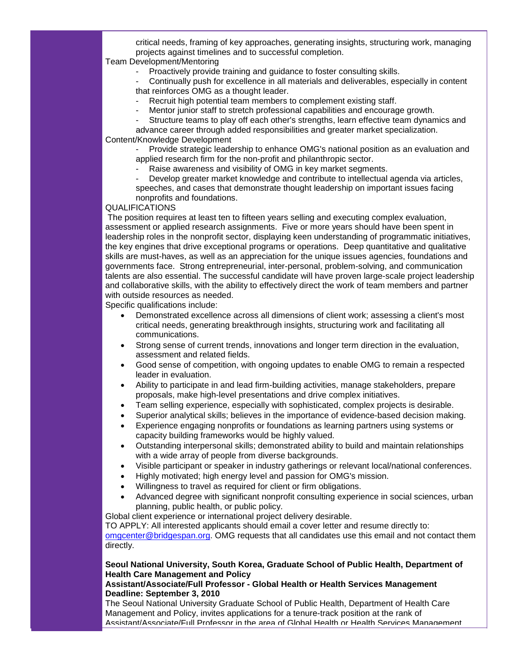critical needs, framing of key approaches, generating insights, structuring work, managing projects against timelines and to successful completion.

Team Development/Mentoring

Proactively provide training and guidance to foster consulting skills.

- Continually push for excellence in all materials and deliverables, especially in content that reinforces OMG as a thought leader.

- Recruit high potential team members to complement existing staff.
- Mentor junior staff to stretch professional capabilities and encourage growth.
- Structure teams to play off each other's strengths, learn effective team dynamics and

advance career through added responsibilities and greater market specialization. Content/Knowledge Development

Provide strategic leadership to enhance OMG's national position as an evaluation and applied research firm for the non-profit and philanthropic sector.

- Raise awareness and visibility of OMG in key market segments.
- Develop greater market knowledge and contribute to intellectual agenda via articles, speeches, and cases that demonstrate thought leadership on important issues facing
- nonprofits and foundations.

#### QUALIFICATIONS

The position requires at least ten to fifteen years selling and executing complex evaluation, assessment or applied research assignments. Five or more years should have been spent in leadership roles in the nonprofit sector, displaying keen understanding of programmatic initiatives, the key engines that drive exceptional programs or operations. Deep quantitative and qualitative skills are must-haves, as well as an appreciation for the unique issues agencies, foundations and governments face. Strong entrepreneurial, inter-personal, problem-solving, and communication talents are also essential. The successful candidate will have proven large-scale project leadership and collaborative skills, with the ability to effectively direct the work of team members and partner with outside resources as needed.

Specific qualifications include:

- Demonstrated excellence across all dimensions of client work; assessing a client's most critical needs, generating breakthrough insights, structuring work and facilitating all communications.
- Strong sense of current trends, innovations and longer term direction in the evaluation, assessment and related fields.
- Good sense of competition, with ongoing updates to enable OMG to remain a respected leader in evaluation.
- Ability to participate in and lead firm-building activities, manage stakeholders, prepare proposals, make high-level presentations and drive complex initiatives.
- Team selling experience, especially with sophisticated, complex projects is desirable.
- Superior analytical skills; believes in the importance of evidence-based decision making.
- Experience engaging nonprofits or foundations as learning partners using systems or capacity building frameworks would be highly valued.
- Outstanding interpersonal skills; demonstrated ability to build and maintain relationships with a wide array of people from diverse backgrounds.
- Visible participant or speaker in industry gatherings or relevant local/national conferences.
- Highly motivated; high energy level and passion for OMG's mission.
- Willingness to travel as required for client or firm obligations.
- Advanced degree with significant nonprofit consulting experience in social sciences, urban planning, public health, or public policy.

Global client experience or international project delivery desirable.

TO APPLY: All interested applicants should email a cover letter and resume directly to:

[omgcenter@bridgespan.org.](mailto:omgcenter@bridgespan.org) OMG requests that all candidates use this email and not contact them directly.

## **Seoul National University, South Korea, Graduate School of Public Health, Department of Health Care Management and Policy**

#### **Assistant/Associate/Full Professor - Global Health or Health Services Management Deadline: September 3, 2010**

The Seoul National University Graduate School of Public Health, Department of Health Care Management and Policy, invites applications for a tenure-track position at the rank of Assistant/Associate/Full Professor in the area of Global Health or Health Services Management.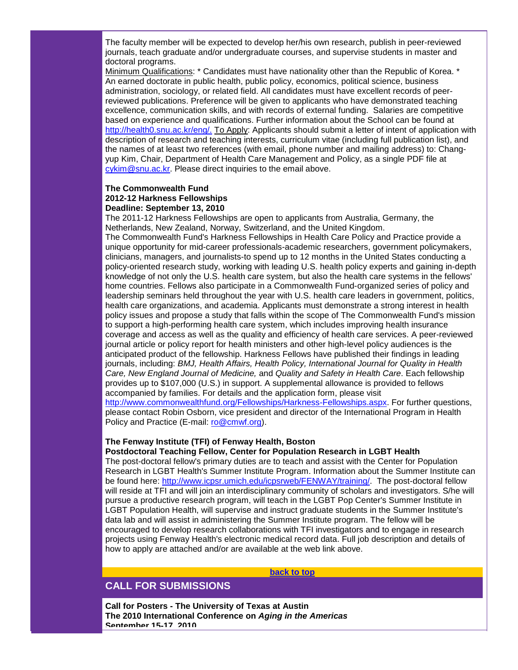The faculty member will be expected to develop her/his own research, publish in peer-reviewed journals, teach graduate and/or undergraduate courses, and supervise students in master and doctoral programs.

Minimum Qualifications: \* Candidates must have nationality other than the Republic of Korea. \* An earned doctorate in public health, public policy, economics, political science, business administration, sociology, or related field. All candidates must have excellent records of peerreviewed publications. Preference will be given to applicants who have demonstrated teaching excellence, communication skills, and with records of external funding. Salaries are competitive based on experience and qualifications. Further information about the School can be found at [http://health0.snu.ac.kr/eng/.](http://r20.rs6.net/tn.jsp?t=9y6qmydab.0.a5wsmydab.5gytkqcab.1&ts=S0503&p=http%3A%2F%2Fhealth0.snu.ac.kr%2Feng%2F) To Apply: Applicants should submit a letter of intent of application with description of research and teaching interests, curriculum vitae (including full publication list), and the names of at least two references (with email, phone number and mailing address) to: Changyup Kim, Chair, Department of Health Care Management and Policy, as a single PDF file at [cykim@snu.ac.kr.](mailto:cykim@snu.ac.kr) Please direct inquiries to the email above.

#### **The Commonwealth Fund 2012-12 Harkness Fellowships Deadline: September 13, 2010**

The 2011-12 Harkness Fellowships are open to applicants from Australia, Germany, the Netherlands, New Zealand, Norway, Switzerland, and the United Kingdom. The Commonwealth Fund's Harkness Fellowships in Health Care Policy and Practice provide a unique opportunity for mid-career professionals-academic researchers, government policymakers, clinicians, managers, and journalists-to spend up to 12 months in the United States conducting a policy-oriented research study, working with leading U.S. health policy experts and gaining in-depth knowledge of not only the U.S. health care system, but also the health care systems in the fellows' home countries. Fellows also participate in a Commonwealth Fund-organized series of policy and leadership seminars held throughout the year with U.S. health care leaders in government, politics, health care organizations, and academia. Applicants must demonstrate a strong interest in health policy issues and propose a study that falls within the scope of The Commonwealth Fund's mission to support a high-performing health care system, which includes improving health insurance coverage and access as well as the quality and efficiency of health care services. A peer-reviewed journal article or policy report for health ministers and other high-level policy audiences is the anticipated product of the fellowship. Harkness Fellows have published their findings in leading journals, including: *BMJ, Health Affairs, Health Policy, International Journal for Quality in Health Care, New England Journal of Medicine,* and *Quality and Safety in Health Care*. Each fellowship provides up to \$107,000 (U.S.) in support. A supplemental allowance is provided to fellows accompanied by families. For details and the application form, please visit [http://www.commonwealthfund.org/Fellowships/Harkness-Fellowships.aspx.](http://r20.rs6.net/tn.jsp?t=9y6qmydab.0.b5wsmydab.5gytkqcab.1&ts=S0503&p=http%3A%2F%2Fnewsletters.commonwealthfund.org%2Ft%2F5270%2F16163%2F296%2F0%2F) For further questions, please contact Robin Osborn, vice president and director of the International Program in Health Policy and Practice (E-mail: [ro@cmwf.org\)](mailto:ro@cmwf.org).

# **The Fenway Institute (TFI) of Fenway Health, Boston**

**Postdoctoral Teaching Fellow, Center for Population Research in LGBT Health**

The post-doctoral fellow's primary duties are to teach and assist with the Center for Population Research in LGBT Health's Summer Institute Program. Information about the Summer Institute can be found here: [http://www.icpsr.umich.edu/icpsrweb/FENWAY/training/.](http://r20.rs6.net/tn.jsp?t=9y6qmydab.0.c5wsmydab.5gytkqcab.1&ts=S0503&p=http%3A%2F%2Fwww.icpsr.umich.edu%2Ficpsrweb%2FFENWAY%2Ftraining%2F) The post-doctoral fellow will reside at TFI and will join an interdisciplinary community of scholars and investigators. S/he will pursue a productive research program, will teach in the LGBT Pop Center's Summer Institute in LGBT Population Health, will supervise and instruct graduate students in the Summer Institute's data lab and will assist in administering the Summer Institute program. The fellow will be encouraged to develop research collaborations with TFI investigators and to engage in research projects using Fenway Health's electronic medical record data. Full job description and details of how to apply are attached and/or are available at the web link above.

**[back to top](#page-0-1)**

# <span id="page-7-0"></span>**CALL FOR SUBMISSIONS**

**Call for Posters - The University of Texas at Austin The 2010 International Conference on** *Aging in the Americas* **September 15-17, 2010**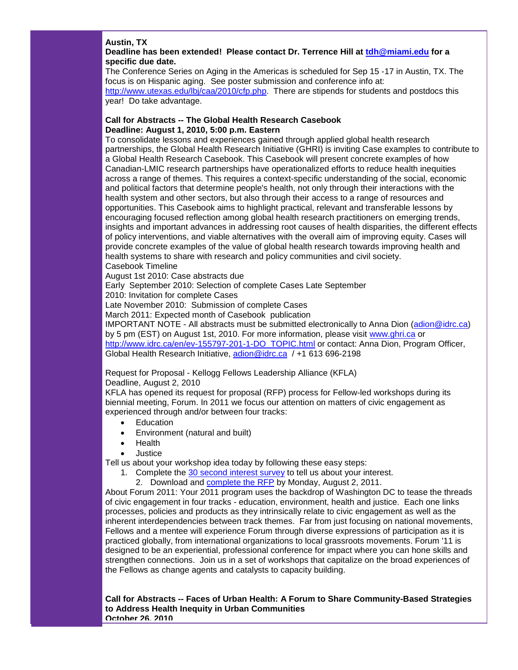## **Austin, TX**

## **Deadline has been extended! Please contact Dr. Terrence Hill at [tdh@miami.edu](mailto:tdh@miami.edu) for a specific due date.**

The Conference Series on Aging in the Americas is scheduled for Sep 15 -17 in Austin, TX. The focus is on Hispanic aging. See poster submission and conference info at: [http://www.utexas.edu/lbj/caa/2010/cfp.php.](http://r20.rs6.net/tn.jsp?t=9y6qmydab.0.d5wsmydab.5gytkqcab.1&ts=S0503&p=http%3A%2F%2Fwww.utexas.edu%2Flbj%2Fcaa%2F2010%2Fcfp.php) There are stipends for students and postdocs this year! Do take advantage.

#### **Call for Abstracts -- The Global Health Research Casebook Deadline: August 1, 2010, 5:00 p.m. Eastern**

To consolidate lessons and experiences gained through applied global health research partnerships, the Global Health Research Initiative (GHRI) is inviting Case examples to contribute to a Global Health Research Casebook. This Casebook will present concrete examples of how Canadian-LMIC research partnerships have operationalized efforts to reduce health inequities across a range of themes. This requires a context-specific understanding of the social, economic and political factors that determine people's health, not only through their interactions with the health system and other sectors, but also through their access to a range of resources and opportunities. This Casebook aims to highlight practical, relevant and transferable lessons by encouraging focused reflection among global health research practitioners on emerging trends, insights and important advances in addressing root causes of health disparities, the different effects of policy interventions, and viable alternatives with the overall aim of improving equity. Cases will provide concrete examples of the value of global health research towards improving health and health systems to share with research and policy communities and civil society. Casebook Timeline

August 1st 2010: Case abstracts due

Early September 2010: Selection of complete Cases Late September

2010: Invitation for complete Cases

Late November 2010: Submission of complete Cases

March 2011: Expected month of Casebook publication

IMPORTANT NOTE - All abstracts must be submitted electronically to Anna Dion [\(adion@idrc.ca\)](mailto:adion@idrc.ca) by 5 pm (EST) on August 1st, 2010. For more information, please visit [www.ghri.ca](http://r20.rs6.net/tn.jsp?t=9y6qmydab.0.e5wsmydab.5gytkqcab.1&ts=S0503&p=http%3A%2F%2Fwww.ghri.ca%2F) or [http://www.idrc.ca/en/ev-155797-201-1-DO\\_TOPIC.html](http://r20.rs6.net/tn.jsp?t=9y6qmydab.0.f5wsmydab.5gytkqcab.1&ts=S0503&p=http%3A%2F%2Fwww.idrc.ca%2Fen%2Fev-155797-201-1-DO_TOPIC.html) or contact: Anna Dion, Program Officer, Global Health Research Initiative, [adion@idrc.ca](mailto:adion@idrc.ca) / +1 613 696-2198

Request for Proposal - Kellogg Fellows Leadership Alliance (KFLA) Deadline, August 2, 2010

KFLA has opened its request for proposal (RFP) process for Fellow-led workshops during its biennial meeting, Forum. In 2011 we focus our attention on matters of civic engagement as experienced through and/or between four tracks:

- Education
- Environment (natural and built)
- Health
- Justice

Tell us about your workshop idea today by following these easy steps:

- 1. Complete the [30 second interest survey](http://r20.rs6.net/tn.jsp?et=1103527189479&s=1011&e=001A9XZZOCHAREQFrA-CzsvwDVdShsZAu3vQTdHhDH1QkW1NYkSaphTFfHipfnBsFxl5nUsTlAQvkk3bJRoWLmzWJANOOHzYOzI4pxfi9eRo2OMio8iJ7xjyeRATvQjuB11Bu-4UAWn9Qg=) to tell us about your interest.
	- 2. Download and [complete the RFP](http://r20.rs6.net/tn.jsp?et=1103527189479&s=1011&e=001A9XZZOCHAREkwCMhovQjG1lOvdXUdzIniNYPa81KxcqJ1rzTJ9KTj2KD198GFv2tmGNXntARYDrd0OY8qKEn0IuCEHcpwwUn0SObB4JfpYkOVXXJLKswHp0fxwhtKr7vWyU-4yVpgsw7bZI1D9M9hg-rkAQd41dn) by Monday, August 2, 2011.

About Forum 2011: Your 2011 program uses the backdrop of Washington DC to tease the threads of civic engagement in four tracks - education, environment, health and justice. Each one links processes, policies and products as they intrinsically relate to civic engagement as well as the inherent interdependencies between track themes. Far from just focusing on national movements, Fellows and a mentee will experience Forum through diverse expressions of participation as it is practiced globally, from international organizations to local grassroots movements. Forum '11 is designed to be an experiential, professional conference for impact where you can hone skills and strengthen connections. Join us in a set of workshops that capitalize on the broad experiences of the Fellows as change agents and catalysts to capacity building.

**Call for Abstracts -- Faces of Urban Health: A Forum to Share Community-Based Strategies to Address Health Inequity in Urban Communities October 26, 2010**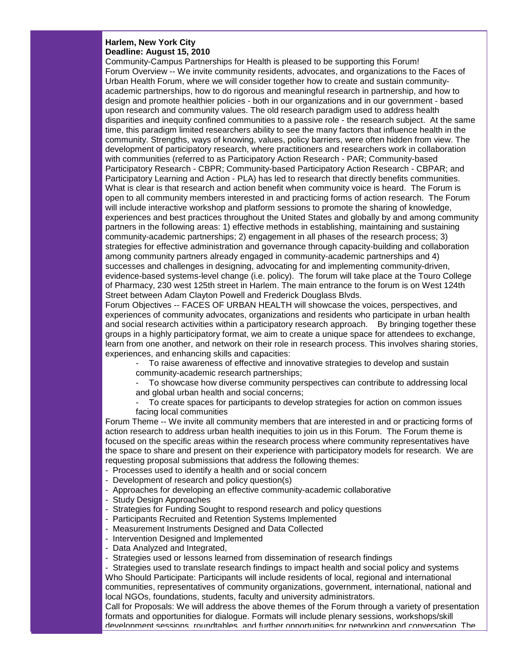#### **Harlem, New York City Deadline: August 15, 2010**

Community-Campus Partnerships for Health is pleased to be supporting this Forum! Forum Overview -- We invite community residents, advocates, and organizations to the Faces of Urban Health Forum, where we will consider together how to create and sustain communityacademic partnerships, how to do rigorous and meaningful research in partnership, and how to design and promote healthier policies - both in our organizations and in our government - based upon research and community values. The old research paradigm used to address health disparities and inequity confined communities to a passive role - the research subject. At the same time, this paradigm limited researchers ability to see the many factors that influence health in the community. Strengths, ways of knowing, values, policy barriers, were often hidden from view. The development of participatory research, where practitioners and researchers work in collaboration with communities (referred to as Participatory Action Research - PAR; Community-based Participatory Research - CBPR; Community-based Participatory Action Research - CBPAR; and Participatory Learning and Action - PLA) has led to research that directly benefits communities. What is clear is that research and action benefit when community voice is heard. The Forum is open to all community members interested in and practicing forms of action research. The Forum will include interactive workshop and platform sessions to promote the sharing of knowledge, experiences and best practices throughout the United States and globally by and among community partners in the following areas: 1) effective methods in establishing, maintaining and sustaining community-academic partnerships; 2) engagement in all phases of the research process; 3) strategies for effective administration and governance through capacity-building and collaboration among community partners already engaged in community-academic partnerships and 4) successes and challenges in designing, advocating for and implementing community-driven, evidence-based systems-level change (i.e. policy). The forum will take place at the Touro College of Pharmacy, 230 west 125th street in Harlem. The main entrance to the forum is on West 124th Street between Adam Clayton Powell and Frederick Douglass Blvds.

Forum Objectives -- FACES OF URBAN HEALTH will showcase the voices, perspectives, and experiences of community advocates, organizations and residents who participate in urban health and social research activities within a participatory research approach. By bringing together these groups in a highly participatory format, we aim to create a unique space for attendees to exchange, learn from one another, and network on their role in research process. This involves sharing stories, experiences, and enhancing skills and capacities:

To raise awareness of effective and innovative strategies to develop and sustain community-academic research partnerships;

- To showcase how diverse community perspectives can contribute to addressing local and global urban health and social concerns;

- To create spaces for participants to develop strategies for action on common issues facing local communities

Forum Theme -- We invite all community members that are interested in and or practicing forms of action research to address urban health inequities to join us in this Forum. The Forum theme is focused on the specific areas within the research process where community representatives have the space to share and present on their experience with participatory models for research. We are requesting proposal submissions that address the following themes:

- Processes used to identify a health and or social concern
- Development of research and policy question(s)
- Approaches for developing an effective community-academic collaborative
- Study Design Approaches
- Strategies for Funding Sought to respond research and policy questions
- Participants Recruited and Retention Systems Implemented
- Measurement Instruments Designed and Data Collected
- Intervention Designed and Implemented
- Data Analyzed and Integrated,
- Strategies used or lessons learned from dissemination of research findings

- Strategies used to translate research findings to impact health and social policy and systems Who Should Participate: Participants will include residents of local, regional and international communities, representatives of community organizations, government, international, national and local NGOs, foundations, students, faculty and university administrators.

Call for Proposals: We will address the above themes of the Forum through a variety of presentation formats and opportunities for dialogue. Formats will include plenary sessions, workshops/skill development sessions, roundtables, and further opportunities for networking and conversation. The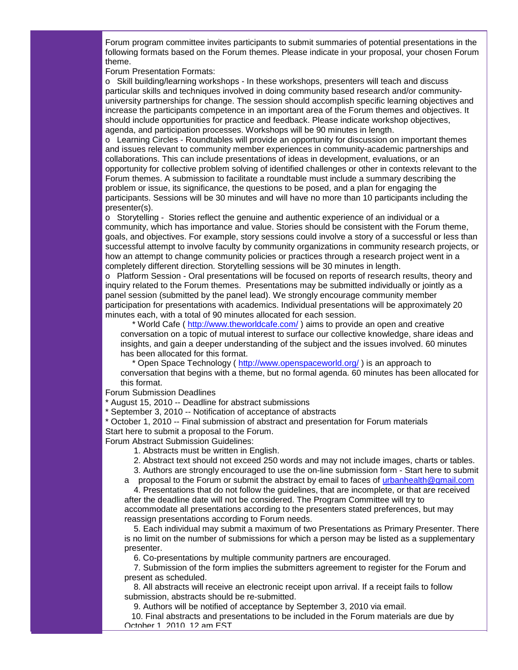Forum program committee invites participants to submit summaries of potential presentations in the following formats based on the Forum themes. Please indicate in your proposal, your chosen Forum theme.

Forum Presentation Formats:

o Skill building/learning workshops - In these workshops, presenters will teach and discuss particular skills and techniques involved in doing community based research and/or communityuniversity partnerships for change. The session should accomplish specific learning objectives and increase the participants competence in an important area of the Forum themes and objectives. It should include opportunities for practice and feedback. Please indicate workshop objectives, agenda, and participation processes. Workshops will be 90 minutes in length.

o Learning Circles - Roundtables will provide an opportunity for discussion on important themes and issues relevant to community member experiences in community-academic partnerships and collaborations. This can include presentations of ideas in development, evaluations, or an opportunity for collective problem solving of identified challenges or other in contexts relevant to the Forum themes. A submission to facilitate a roundtable must include a summary describing the problem or issue, its significance, the questions to be posed, and a plan for engaging the participants. Sessions will be 30 minutes and will have no more than 10 participants including the presenter(s).

o Storytelling - Stories reflect the genuine and authentic experience of an individual or a community, which has importance and value. Stories should be consistent with the Forum theme, goals, and objectives. For example, story sessions could involve a story of a successful or less than successful attempt to involve faculty by community organizations in community research projects, or how an attempt to change community policies or practices through a research project went in a completely different direction. Storytelling sessions will be 30 minutes in length.

o Platform Session - Oral presentations will be focused on reports of research results, theory and inquiry related to the Forum themes. Presentations may be submitted individually or jointly as a panel session (submitted by the panel lead). We strongly encourage community member participation for presentations with academics. Individual presentations will be approximately 20 minutes each, with a total of 90 minutes allocated for each session.

\* World Cafe ( [http://www.theworldcafe.com/](http://r20.rs6.net/tn.jsp?t=9y6qmydab.0.g5wsmydab.5gytkqcab.1&ts=S0503&p=http%3A%2F%2Fwww.theworldcafe.com%2F)) aims to provide an open and creative conversation on a topic of mutual interest to surface our collective knowledge, share ideas and insights, and gain a deeper understanding of the subject and the issues involved. 60 minutes has been allocated for this format.

\* Open Space Technology ( [http://www.openspaceworld.org/](http://r20.rs6.net/tn.jsp?t=9y6qmydab.0.h5wsmydab.5gytkqcab.1&ts=S0503&p=http%3A%2F%2Fwww.openspaceworld.org%2F) ) is an approach to

conversation that begins with a theme, but no formal agenda. 60 minutes has been allocated for this format.

#### Forum Submission Deadlines

\* August 15, 2010 -- Deadline for abstract submissions

\* September 3, 2010 -- Notification of acceptance of abstracts

\* October 1, 2010 -- Final submission of abstract and presentation for Forum materials Start here to submit a proposal to the Forum.

Forum Abstract Submission Guidelines:

- 1. Abstracts must be written in English.
- 2. Abstract text should not exceed 250 words and may not include images, charts or tables.

3. Authors are strongly encouraged to use the on-line submission form - Start here to submit

a proposal to the Forum or submit the abstract by email to faces of [urbanhealth@gmail.com](mailto:urbanhealth@gmail.com)

 4. Presentations that do not follow the guidelines, that are incomplete, or that are received after the deadline date will not be considered. The Program Committee will try to accommodate all presentations according to the presenters stated preferences, but may reassign presentations according to Forum needs.

 5. Each individual may submit a maximum of two Presentations as Primary Presenter. There is no limit on the number of submissions for which a person may be listed as a supplementary presenter.

6. Co-presentations by multiple community partners are encouraged.

 7. Submission of the form implies the submitters agreement to register for the Forum and present as scheduled.

 8. All abstracts will receive an electronic receipt upon arrival. If a receipt fails to follow submission, abstracts should be re-submitted.

9. Authors will be notified of acceptance by September 3, 2010 via email.

 10. Final abstracts and presentations to be included in the Forum materials are due by October 1, 2010, 12 am EST.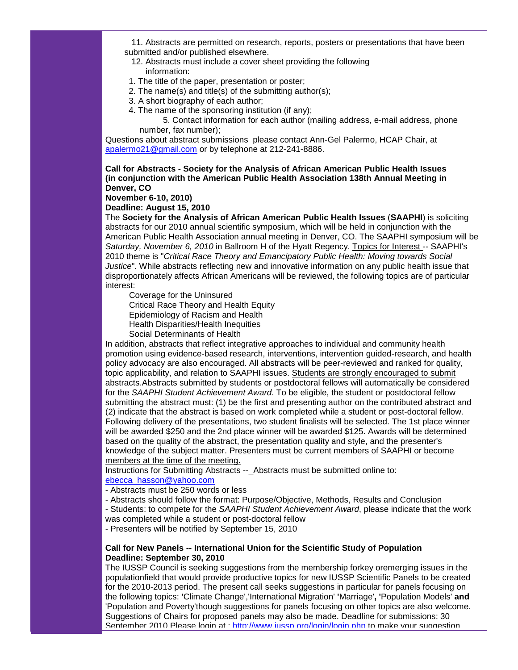11. Abstracts are permitted on research, reports, posters or presentations that have been submitted and/or published elsewhere.

- 12. Abstracts must include a cover sheet providing the following information:
- 1. The title of the paper, presentation or poster;
- 2. The name(s) and title(s) of the submitting author(s);
- 3. A short biography of each author;
- 4. The name of the sponsoring institution (if any);

 5. Contact information for each author (mailing address, e-mail address, phone number, fax number);

Questions about abstract submissions please contact Ann-Gel Palermo, HCAP Chair, at [apalermo21@gmail.com](mailto:apalermo21@gmail.com) or by telephone at 212-241-8886.

#### **Call for Abstracts - Society for the Analysis of African American Public Health Issues (in conjunction with the American Public Health Association 138th Annual Meeting in Denver, CO**

#### **November 6-10, 2010)**

**Deadline: August 15, 2010**

The **Society for the Analysis of African American Public Health Issues** (**SAAPHI**) is soliciting abstracts for our 2010 annual scientific symposium, which will be held in conjunction with the American Public Health Association annual meeting in Denver, CO. The SAAPHI symposium will be *Saturday, November 6, 2010* in Ballroom H of the Hyatt Regency. Topics for Interest -- SAAPHI's 2010 theme is "*Critical Race Theory and Emancipatory Public Health: Moving towards Social Justice*". While abstracts reflecting new and innovative information on any public health issue that disproportionately affects African Americans will be reviewed, the following topics are of particular interest:

 Coverage for the Uninsured Critical Race Theory and Health Equity Epidemiology of Racism and Health Health Disparities/Health Inequities Social Determinants of Health

In addition, abstracts that reflect integrative approaches to individual and community health promotion using evidence-based research, interventions, intervention guided-research, and health policy advocacy are also encouraged. All abstracts will be peer-reviewed and ranked for quality, topic applicability, and relation to SAAPHI issues. Students are strongly encouraged to submit abstracts.Abstracts submitted by students or postdoctoral fellows will automatically be considered for the *SAAPHI Student Achievement Award*. To be eligible, the student or postdoctoral fellow submitting the abstract must: (1) be the first and presenting author on the contributed abstract and (2) indicate that the abstract is based on work completed while a student or post-doctoral fellow. Following delivery of the presentations, two student finalists will be selected. The 1st place winner will be awarded \$250 and the 2nd place winner will be awarded \$125. Awards will be determined based on the quality of the abstract, the presentation quality and style, and the presenter's knowledge of the subject matter. Presenters must be current members of SAAPHI or become members at the time of the meeting.

Instructions for Submitting Abstracts -- Abstracts must be submitted online to: ebecca\_hasson@yahoo.com

- Abstracts must be 250 words or less
- Abstracts should follow the format: Purpose/Objective, Methods, Results and Conclusion

- Students: to compete for the *SAAPHI Student Achievement Award*, please indicate that the work was completed while a student or post-doctoral fellow

- Presenters will be notified by September 15, 2010

#### **Call for New Panels -- International Union for the Scientific Study of Population Deadline: September 30, 2010**

The IUSSP Council is seeking suggestions from the membership forkey oremerging issues in the populationfield that would provide productive topics for new IUSSP Scientific Panels to be created for the 2010-2013 period. The present call seeks suggestions in particular for panels focusing on the following topics: **'**Climate Change','International Migration' **'**Marriage'**, '**Population Models' **and**  'Population and Poverty'though suggestions for panels focusing on other topics are also welcome. Suggestions of Chairs for proposed panels may also be made. Deadline for submissions: 30 September 2010. Please login at : http://www.jussp.org/login/login.php to make your suggestion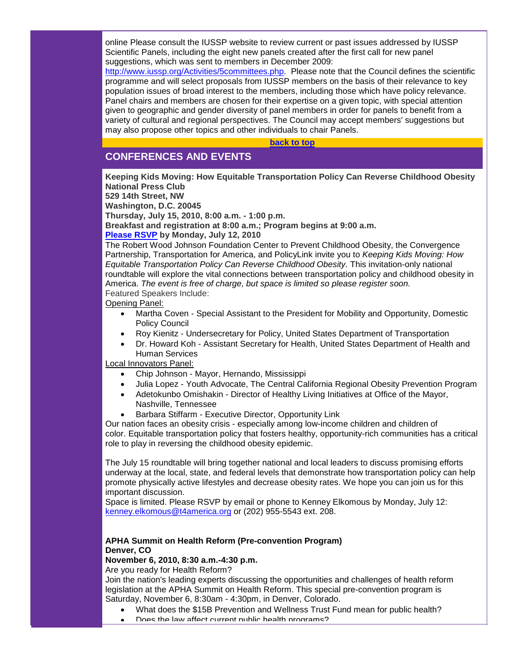online Please consult the IUSSP website to review current or past issues addressed by IUSSP Scientific Panels, including the eight new panels created after the first call for new panel suggestions, which was sent to members in December 2009:

[http://www.iussp.org/Activities/5committees.php.](http://r20.rs6.net/tn.jsp?t=9y6qmydab.0.j5wsmydab.5gytkqcab.1&ts=S0503&p=http%3A%2F%2Fwww.iussp.org%2FActivities%2F5committees.php) Please note that the Council defines the scientific programme and will select proposals from IUSSP members on the basis of their relevance to key population issues of broad interest to the members, including those which have policy relevance. Panel chairs and members are chosen for their expertise on a given topic, with special attention given to geographic and gender diversity of panel members in order for panels to benefit from a variety of cultural and regional perspectives. The Council may accept members' suggestions but may also propose other topics and other individuals to chair Panels.

**[back to top](#page-0-1)**

# <span id="page-12-0"></span>**CONFERENCES AND EVENTS**

**Keeping Kids Moving: How Equitable Transportation Policy Can Reverse Childhood Obesity National Press Club 529 14th Street, NW**

**Washington, D.C. 20045**

**Thursday, July 15, 2010, 8:00 a.m. - 1:00 p.m.**

**Breakfast and registration at 8:00 a.m.; Program begins at 9:00 a.m.**

**[Please RSVP](mailto:kenney.elkomous@t4america.org?subject=RSVP%20for%20%20Keeping%20Kids%20Moving) by Monday, July 12, 2010**

The Robert Wood Johnson Foundation Center to Prevent Childhood Obesity, the Convergence Partnership, Transportation for America, and PolicyLink invite you to *Keeping Kids Moving: How Equitable Transportation Policy Can Reverse Childhood Obesity.* This invitation-only national roundtable will explore the vital connections between transportation policy and childhood obesity in America. *The event is free of charge, but space is limited so please register soon.* Featured Speakers Include:

Opening Panel:

- Martha Coven Special Assistant to the President for Mobility and Opportunity, Domestic Policy Council
- Roy Kienitz Undersecretary for Policy, United States Department of Transportation
- Dr. Howard Koh Assistant Secretary for Health, United States Department of Health and Human Services

Local Innovators Panel:

- Chip Johnson Mayor, Hernando, Mississippi
- Julia Lopez Youth Advocate, The Central California Regional Obesity Prevention Program
- Adetokunbo Omishakin Director of Healthy Living Initiatives at Office of the Mayor, Nashville, Tennessee
- Barbara Stiffarm Executive Director, Opportunity Link

Our nation faces an obesity crisis - especially among low-income children and children of color. Equitable transportation policy that fosters healthy, opportunity-rich communities has a critical role to play in reversing the childhood obesity epidemic.

The July 15 roundtable will bring together national and local leaders to discuss promising efforts underway at the local, state, and federal levels that demonstrate how transportation policy can help promote physically active lifestyles and decrease obesity rates. We hope you can join us for this important discussion.

Space is limited. Please RSVP by email or phone to Kenney Elkomous by Monday, July 12: [kenney.elkomous@t4america.org](mailto:kenney.elkomous@t4america.org?subject=RSVP%20for%20Keeping%20Kids%20Moving) or (202) 955-5543 ext. 208.

## **APHA Summit on Health Reform (Pre-convention Program) Denver, CO**

## **November 6, 2010, 8:30 a.m.-4:30 p.m.**

Are you ready for Health Reform?

Join the nation's leading experts discussing the opportunities and challenges of health reform legislation at the APHA Summit on Health Reform. This special pre-convention program is Saturday, November 6, 8:30am - 4:30pm, in Denver, Colorado.

- What does the \$15B Prevention and Wellness Trust Fund mean for public health?
- Does the law affect current public health programs?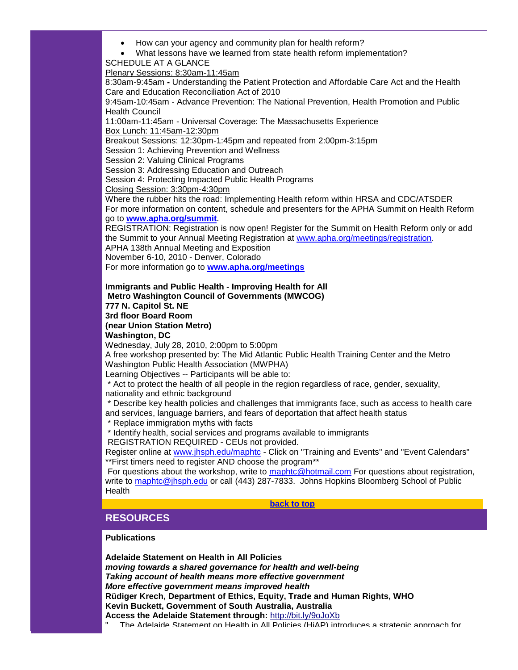- How can your agency and community plan for health reform?
- What lessons have we learned from state health reform implementation?

SCHEDULE AT A GLANCE

Plenary Sessions: 8:30am-11:45am

8:30am-9:45am **-** Understanding the Patient Protection and Affordable Care Act and the Health Care and Education Reconciliation Act of 2010

9:45am-10:45am - Advance Prevention: The National Prevention, Health Promotion and Public Health Council

11:00am-11:45am - Universal Coverage: The Massachusetts Experience Box Lunch: 11:45am-12:30pm

Breakout Sessions: 12:30pm-1:45pm and repeated from 2:00pm-3:15pm

Session 1: Achieving Prevention and Wellness

Session 2: Valuing Clinical Programs

Session 3: Addressing Education and Outreach

Session 4: Protecting Impacted Public Health Programs

Closing Session: 3:30pm-4:30pm

Where the rubber hits the road: Implementing Health reform within HRSA and CDC/ATSDER For more information on content, schedule and presenters for the APHA Summit on Health Reform go to **[www.apha.org/summit](http://r20.rs6.net/tn.jsp?t=9y6qmydab.0.k5wsmydab.5gytkqcab.1&ts=S0503&p=http%3A%2F%2Faction.apha.org%2Fsite%2FR%3Fi%3DmKOnmlB-O2wN9aEG1zwGUw..)**.

REGISTRATION: Registration is now open! Register for the Summit on Health Reform only or add the Summit to your Annual Meeting Registration at [www.apha.org/meetings/registration.](http://r20.rs6.net/tn.jsp?t=9y6qmydab.0.l5wsmydab.5gytkqcab.1&ts=S0503&p=http%3A%2F%2Faction.apha.org%2Fsite%2FR%3Fi%3D_BUdRzHJ2gj_XyyAq1XoJA..)

APHA 138th Annual Meeting and Exposition

November 6-10, 2010 - Denver, Colorado

For more information go to **[www.apha.org/meetings](http://r20.rs6.net/tn.jsp?t=9y6qmydab.0.m5wsmydab.5gytkqcab.1&ts=S0503&p=http%3A%2F%2Faction.apha.org%2Fsite%2FR%3Fi%3DqFfU3kO3cxPS1Hdz1853dQ..)**

**Immigrants and Public Health - Improving Health for All Metro Washington Council of Governments (MWCOG) 777 N. Capitol St. NE 3rd floor Board Room (near Union Station Metro) Washington, DC**

Wednesday, July 28, 2010, 2:00pm to 5:00pm

A free workshop presented by: The Mid Atlantic Public Health Training Center and the Metro Washington Public Health Association (MWPHA)

Learning Objectives -- Participants will be able to:

\* Act to protect the health of all people in the region regardless of race, gender, sexuality, nationality and ethnic background

\* Describe key health policies and challenges that immigrants face, such as access to health care and services, language barriers, and fears of deportation that affect health status

\* Replace immigration myths with facts

\* Identify health, social services and programs available to immigrants

REGISTRATION REQUIRED - CEUs not provided.

Register online at [www.jhsph.edu/maphtc](http://r20.rs6.net/tn.jsp?t=9y6qmydab.0.n5wsmydab.5gytkqcab.1&ts=S0503&p=http%3A%2F%2Fwww.jhsph.edu%2Fmaphtc) - Click on "Training and Events" and "Event Calendars" \*\*First timers need to register AND choose the program\*\*

For questions about the workshop, write to [maphtc@hotmail.com](mailto:maphtc@hotmail.com) For questions about registration, write to [maphtc@jhsph.edu](mailto:maphtc@jhsph.edu) or call (443) 287-7833. Johns Hopkins Bloomberg School of Public **Health** 

#### **[back to top](#page-0-1)**

# <span id="page-13-0"></span>**RESOURCES**

#### **Publications**

**Adelaide Statement on Health in All Policies** *moving towards a shared governance for health and well-being Taking account of health means more effective government More effective government means improved health* **Rüdiger Krech, Department of Ethics, Equity, Trade and Human Rights, WHO Kevin Buckett, Government of South Australia, Australia Access the Adelaide Statement through:** [http://bit.ly/9oJoXb](http://r20.rs6.net/tn.jsp?t=9y6qmydab.0.o5wsmydab.5gytkqcab.1&ts=S0503&p=http%3A%2F%2Fbit.ly%2F9oJoXb) The Adelaide Statement on Health in All Policies (HiAP) introduces a strategic approach for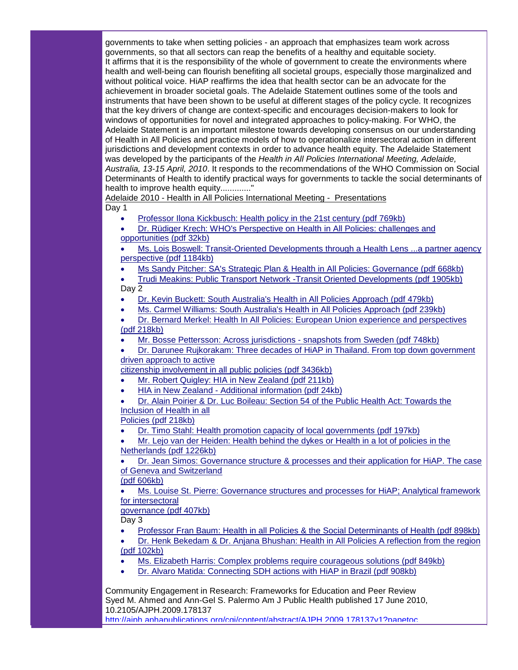governments to take when setting policies - an approach that emphasizes team work across governments, so that all sectors can reap the benefits of a healthy and equitable society. It affirms that it is the responsibility of the whole of government to create the environments where health and well-being can flourish benefiting all societal groups, especially those marginalized and without political voice. HiAP reaffirms the idea that health sector can be an advocate for the achievement in broader societal goals. The Adelaide Statement outlines some of the tools and instruments that have been shown to be useful at different stages of the policy cycle. It recognizes that the key drivers of change are context-specific and encourages decision-makers to look for windows of opportunities for novel and integrated approaches to policy-making. For WHO, the Adelaide Statement is an important milestone towards developing consensus on our understanding of Health in All Policies and practice models of how to operationalize intersectoral action in different jurisdictions and development contexts in order to advance health equity. The Adelaide Statement was developed by the participants of the *Health in All Policies International Meeting, Adelaide, Australia, 13-15 April, 2010*. It responds to the recommendations of the WHO Commission on Social Determinants of Health to identify practical ways for governments to tackle the social determinants of health to improve health equity............."

Adelaide 2010 - Health in All Policies International Meeting - Presentations Day 1

- [Professor Ilona Kickbusch: Health policy in the 21st century \(pdf 769kb\)](http://r20.rs6.net/tn.jsp?t=9y6qmydab.0.r5wsmydab.5gytkqcab.1&ts=S0503&p=http%3A%2F%2Fwww.health.sa.gov.au%2Fpehs%2FHiAP%2FAdelaide2010%2FKickbuschDay1-hiap-phcc-20100423.pdf)
- [Dr. Rüdiger Krech: WHO's Perspective on Health in All Policies: challenges and](http://r20.rs6.net/tn.jsp?t=9y6qmydab.0.s5wsmydab.5gytkqcab.1&ts=S0503&p=http%3A%2F%2Fwww.health.sa.gov.au%2Fpehs%2FHiAP%2FAdelaide2010%2FKrechDay1-hiap-phcc-20100423.pdf)  [opportunities \(pdf 32kb\)](http://r20.rs6.net/tn.jsp?t=9y6qmydab.0.s5wsmydab.5gytkqcab.1&ts=S0503&p=http%3A%2F%2Fwww.health.sa.gov.au%2Fpehs%2FHiAP%2FAdelaide2010%2FKrechDay1-hiap-phcc-20100423.pdf)
- 

• [Ms. Lois Boswell: Transit-Oriented Developments through a Health Lens ...a partner agency](http://r20.rs6.net/tn.jsp?t=9y6qmydab.0.t5wsmydab.5gytkqcab.1&ts=S0503&p=http%3A%2F%2Fwww.health.sa.gov.au%2Fpehs%2FHiAP%2FAdelaide2010%2FBoswellDay1-hiap-phcc-20100423.pdf)  [perspective \(pdf 1184kb\)](http://r20.rs6.net/tn.jsp?t=9y6qmydab.0.t5wsmydab.5gytkqcab.1&ts=S0503&p=http%3A%2F%2Fwww.health.sa.gov.au%2Fpehs%2FHiAP%2FAdelaide2010%2FBoswellDay1-hiap-phcc-20100423.pdf)

- [Ms Sandy Pitcher: SA's Strategic Plan & Health in All Policies: Governance \(pdf 668kb\)](http://r20.rs6.net/tn.jsp?t=9y6qmydab.0.u5wsmydab.5gytkqcab.1&ts=S0503&p=http%3A%2F%2Fwww.health.sa.gov.au%2Fpehs%2FHiAP%2FAdelaide2010%2FPitcherDay1-hiap-phcc-20100423.pdf)
- [Trudi Meakins: Public Transport Network -Transit Oriented Developments \(pdf 1905kb\)](http://r20.rs6.net/tn.jsp?t=9y6qmydab.0.v5wsmydab.5gytkqcab.1&ts=S0503&p=http%3A%2F%2Fwww.health.sa.gov.au%2Fpehs%2FHiAP%2FAdelaide2010%2FMeakinsDay1-hiap-phcc-20100423.pdf) Day 2
- [Dr. Kevin Buckett: South Australia's Health in All Policies Approach \(pdf 479kb\)](http://r20.rs6.net/tn.jsp?t=9y6qmydab.0.w5wsmydab.5gytkqcab.1&ts=S0503&p=http%3A%2F%2Fwww.health.sa.gov.au%2Fpehs%2FHiAP%2FAdelaide2010%2FBuckettDay2-hiap-phcc-20100423.pdf)
- [Ms. Carmel Williams: South Australia's Health in All Policies Approach \(pdf 239kb\)](http://r20.rs6.net/tn.jsp?t=9y6qmydab.0.x5wsmydab.5gytkqcab.1&ts=S0503&p=http%3A%2F%2Fwww.health.sa.gov.au%2Fpehs%2FHiAP%2FAdelaide2010%2FWilliamsDay2-hiap-phcc-20100423.pdf)

• [Dr. Bernard Merkel: Health In All Policies: European Union experience and perspectives](http://r20.rs6.net/tn.jsp?t=9y6qmydab.0.y5wsmydab.5gytkqcab.1&ts=S0503&p=http%3A%2F%2Fwww.health.sa.gov.au%2Fpehs%2FHiAP%2FAdelaide2010%2FMerkelDay2-hiap-phcc-20100423.pdf)  [\(pdf 218kb\)](http://r20.rs6.net/tn.jsp?t=9y6qmydab.0.y5wsmydab.5gytkqcab.1&ts=S0503&p=http%3A%2F%2Fwww.health.sa.gov.au%2Fpehs%2FHiAP%2FAdelaide2010%2FMerkelDay2-hiap-phcc-20100423.pdf)

• [Mr. Bosse Pettersson: Across jurisdictions -](http://r20.rs6.net/tn.jsp?t=9y6qmydab.0.z5wsmydab.5gytkqcab.1&ts=S0503&p=http%3A%2F%2Fwww.health.sa.gov.au%2Fpehs%2FHiAP%2FAdelaide2010%2FPetterssonDay2-hiap-phcc-20100423.pdf) snapshots from Sweden (pdf 748kb)

• [Dr. Darunee Rujkorakam: Three decades of HiAP in Thailand. From top down government](http://r20.rs6.net/tn.jsp?t=9y6qmydab.0.95wsmydab.5gytkqcab.1&ts=S0503&p=http%3A%2F%2Fwww.health.sa.gov.au%2Fpehs%2FHiAP%2FAdelaide2010%2FRujkorakarnDay2-hiap-phcc-20100423.pdf)  [driven approach to active](http://r20.rs6.net/tn.jsp?t=9y6qmydab.0.95wsmydab.5gytkqcab.1&ts=S0503&p=http%3A%2F%2Fwww.health.sa.gov.au%2Fpehs%2FHiAP%2FAdelaide2010%2FRujkorakarnDay2-hiap-phcc-20100423.pdf) 

[citizenship involvement in all public policies \(pdf 3436kb\)](http://r20.rs6.net/tn.jsp?t=9y6qmydab.0.95wsmydab.5gytkqcab.1&ts=S0503&p=http%3A%2F%2Fwww.health.sa.gov.au%2Fpehs%2FHiAP%2FAdelaide2010%2FRujkorakarnDay2-hiap-phcc-20100423.pdf)

- [Mr. Robert Quigley: HIA in New Zealand \(pdf 211kb\)](http://r20.rs6.net/tn.jsp?t=9y6qmydab.0.85wsmydab.5gytkqcab.1&ts=S0503&p=http%3A%2F%2Fwww.health.sa.gov.au%2Fpehs%2FHiAP%2FAdelaide2010%2FQuigleyDay2-hiap-phcc-20100423.pdf)
- HIA in New Zealand [Additional information \(pdf 24kb\)](http://r20.rs6.net/tn.jsp?t=9y6qmydab.0.75wsmydab.5gytkqcab.1&ts=S0503&p=http%3A%2F%2Fwww.health.sa.gov.au%2Fpehs%2FHiAP%2FAdelaide2010%2FHIAinNewZealand-hiap-phcc-20100423.pdf)

• [Dr. Alain Poirier & Dr. Luc Boileau: Section 54 of the Public Health Act: Towards the](http://r20.rs6.net/tn.jsp?t=9y6qmydab.0.65wsmydab.5gytkqcab.1&ts=S0503&p=http%3A%2F%2Fwww.health.sa.gov.au%2Fpehs%2FHiAP%2FAdelaide2010%2FPoirerBoileauDay2-hiap-phcc-20100423.pdf)  [Inclusion of Health in all](http://r20.rs6.net/tn.jsp?t=9y6qmydab.0.65wsmydab.5gytkqcab.1&ts=S0503&p=http%3A%2F%2Fwww.health.sa.gov.au%2Fpehs%2FHiAP%2FAdelaide2010%2FPoirerBoileauDay2-hiap-phcc-20100423.pdf) 

[Policies \(pdf 218kb\)](http://r20.rs6.net/tn.jsp?t=9y6qmydab.0.65wsmydab.5gytkqcab.1&ts=S0503&p=http%3A%2F%2Fwww.health.sa.gov.au%2Fpehs%2FHiAP%2FAdelaide2010%2FPoirerBoileauDay2-hiap-phcc-20100423.pdf)

• [Dr. Timo Stahl: Health promotion capacity of local governments \(pdf 197kb\)](http://r20.rs6.net/tn.jsp?t=9y6qmydab.0.55wsmydab.5gytkqcab.1&ts=S0503&p=http%3A%2F%2Fwww.health.sa.gov.au%2Fpehs%2FHiAP%2FAdelaide2010%2FStahlDay2-hiap-phcc-20100423.pdf)

• [Mr. Lejo van der Heiden: Health behind the dykes or Health in a lot of policies in the](http://r20.rs6.net/tn.jsp?t=9y6qmydab.0.45wsmydab.5gytkqcab.1&ts=S0503&p=http%3A%2F%2Fwww.health.sa.gov.au%2Fpehs%2FHiAP%2FAdelaide2010%2FvanderHeidenDay2-hiap-phcc-20100423.pdf)  [Netherlands \(pdf 1226kb\)](http://r20.rs6.net/tn.jsp?t=9y6qmydab.0.45wsmydab.5gytkqcab.1&ts=S0503&p=http%3A%2F%2Fwww.health.sa.gov.au%2Fpehs%2FHiAP%2FAdelaide2010%2FvanderHeidenDay2-hiap-phcc-20100423.pdf)

• [Dr. Jean Simos: Governance structure & processes and their application for HiAP. The case](http://r20.rs6.net/tn.jsp?t=9y6qmydab.0.a4wsmydab.5gytkqcab.1&ts=S0503&p=http%3A%2F%2Fwww.health.sa.gov.au%2Fpehs%2FHiAP%2FAdelaide2010%2FSimosDay2-hiap-phcc-20100423.pdf)  [of Geneva and Switzerland](http://r20.rs6.net/tn.jsp?t=9y6qmydab.0.a4wsmydab.5gytkqcab.1&ts=S0503&p=http%3A%2F%2Fwww.health.sa.gov.au%2Fpehs%2FHiAP%2FAdelaide2010%2FSimosDay2-hiap-phcc-20100423.pdf) 

[\(pdf 606kb\)](http://r20.rs6.net/tn.jsp?t=9y6qmydab.0.a4wsmydab.5gytkqcab.1&ts=S0503&p=http%3A%2F%2Fwww.health.sa.gov.au%2Fpehs%2FHiAP%2FAdelaide2010%2FSimosDay2-hiap-phcc-20100423.pdf)

• [Ms. Louise St. Pierre: Governance structures and processes for HiAP; Analytical framework](http://r20.rs6.net/tn.jsp?t=9y6qmydab.0.b4wsmydab.5gytkqcab.1&ts=S0503&p=http%3A%2F%2Fwww.health.sa.gov.au%2Fpehs%2FHiAP%2FAdelaide2010%2FStPierreDay2-hiap-phcc-20100423.pdf)  [for intersectoral](http://r20.rs6.net/tn.jsp?t=9y6qmydab.0.b4wsmydab.5gytkqcab.1&ts=S0503&p=http%3A%2F%2Fwww.health.sa.gov.au%2Fpehs%2FHiAP%2FAdelaide2010%2FStPierreDay2-hiap-phcc-20100423.pdf) 

[governance \(pdf 407kb\)](http://r20.rs6.net/tn.jsp?t=9y6qmydab.0.b4wsmydab.5gytkqcab.1&ts=S0503&p=http%3A%2F%2Fwww.health.sa.gov.au%2Fpehs%2FHiAP%2FAdelaide2010%2FStPierreDay2-hiap-phcc-20100423.pdf)

Day 3

• [Professor Fran Baum: Health in all Policies & the Social Determinants of Health \(pdf 898kb\)](http://r20.rs6.net/tn.jsp?t=9y6qmydab.0.c4wsmydab.5gytkqcab.1&ts=S0503&p=http%3A%2F%2Fwww.health.sa.gov.au%2Fpehs%2FHiAP%2FAdelaide2010%2FBaumDay3-hiap-phcc-20100423.pdf)

• [Dr. Henk Bekedam & Dr. Anjana Bhushan: Health in All Policies A reflection from the region](http://r20.rs6.net/tn.jsp?t=9y6qmydab.0.d4wsmydab.5gytkqcab.1&ts=S0503&p=http%3A%2F%2Fwww.health.sa.gov.au%2Fpehs%2FHiAP%2FAdelaide2010%2FBekedamBhushanDay3-hiap-phcc-20100423.pdf)  [\(pdf 102kb\)](http://r20.rs6.net/tn.jsp?t=9y6qmydab.0.d4wsmydab.5gytkqcab.1&ts=S0503&p=http%3A%2F%2Fwww.health.sa.gov.au%2Fpehs%2FHiAP%2FAdelaide2010%2FBekedamBhushanDay3-hiap-phcc-20100423.pdf)

- [Ms. Elizabeth Harris: Complex problems require courageous solutions \(pdf 849kb\)](http://r20.rs6.net/tn.jsp?t=9y6qmydab.0.e4wsmydab.5gytkqcab.1&ts=S0503&p=http%3A%2F%2Fwww.health.sa.gov.au%2Fpehs%2FHiAP%2FAdelaide2010%2FHarrisDay3-hiap-phcc-20100423.pdf)
- [Dr. Alvaro Matida: Connecting SDH actions with HiAP in Brazil \(pdf 908kb\)](http://r20.rs6.net/tn.jsp?t=9y6qmydab.0.f4wsmydab.5gytkqcab.1&ts=S0503&p=http%3A%2F%2Fwww.health.sa.gov.au%2Fpehs%2FHiAP%2FAdelaide2010%2FMatidaDay3-hiap-phcc-20100423.pdf)

Community Engagement in Research: Frameworks for Education and Peer Review Syed M. Ahmed and Ann-Gel S. Palermo Am J Public Health published 17 June 2010, 10.2105/AJPH.2009.178137 http://aiph.aphapublications.org/cgi/content/abstract/AJPH.2009.178137v1?papetoc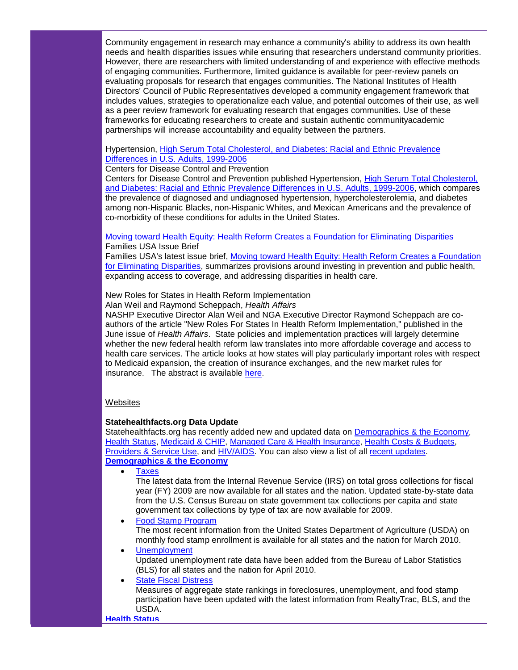Community engagement in research may enhance a community's ability to address its own health needs and health disparities issues while ensuring that researchers understand community priorities. However, there are researchers with limited understanding of and experience with effective methods of engaging communities. Furthermore, limited guidance is available for peer-review panels on evaluating proposals for research that engages communities. The National Institutes of Health Directors' Council of Public Representatives developed a community engagement framework that includes values, strategies to operationalize each value, and potential outcomes of their use, as well as a peer review framework for evaluating research that engages communities. Use of these frameworks for educating researchers to create and sustain authentic communityacademic partnerships will increase accountability and equality between the partners.

#### Hypertension, [High Serum Total Cholesterol, and Diabetes: Racial and Ethnic Prevalence](http://r20.rs6.net/tn.jsp?t=9y6qmydab.0.h4wsmydab.5gytkqcab.1&ts=S0503&p=http%3A%2F%2Fwww.cdc.gov%2Fnchs%2Fdata%2Fdatabriefs%2Fdb36.pdf)  [Differences in U.S. Adults, 1999-2006](http://r20.rs6.net/tn.jsp?t=9y6qmydab.0.h4wsmydab.5gytkqcab.1&ts=S0503&p=http%3A%2F%2Fwww.cdc.gov%2Fnchs%2Fdata%2Fdatabriefs%2Fdb36.pdf)

Centers for Disease Control and Prevention

Centers for Disease Control and Prevention published Hypertension, [High Serum Total Cholesterol,](http://r20.rs6.net/tn.jsp?t=9y6qmydab.0.h4wsmydab.5gytkqcab.1&ts=S0503&p=http%3A%2F%2Fwww.cdc.gov%2Fnchs%2Fdata%2Fdatabriefs%2Fdb36.pdf)  and Diabetes: Racial [and Ethnic Prevalence Differences in U.S. Adults, 1999-2006,](http://r20.rs6.net/tn.jsp?t=9y6qmydab.0.h4wsmydab.5gytkqcab.1&ts=S0503&p=http%3A%2F%2Fwww.cdc.gov%2Fnchs%2Fdata%2Fdatabriefs%2Fdb36.pdf) which compares the prevalence of diagnosed and undiagnosed hypertension, hypercholesterolemia, and diabetes among non-Hispanic Blacks, non-Hispanic Whites, and Mexican Americans and the prevalence of co-morbidity of these conditions for adults in the United States.

[Moving toward Health Equity: Health Reform Creates a Foundation for Eliminating Disparities](http://r20.rs6.net/tn.jsp?t=9y6qmydab.0.i4wsmydab.5gytkqcab.1&ts=S0503&p=http%3A%2F%2Fwww.familiesusa.org%2Fassets%2Fpdfs%2Fhealth-reform%2Fminority-health%2Fmoving-toward-health-equity.pdf) Families USA Issue Brief

Families USA's latest issue brief, [Moving toward Health Equity: Health Reform Creates a Foundation](http://r20.rs6.net/tn.jsp?t=9y6qmydab.0.i4wsmydab.5gytkqcab.1&ts=S0503&p=http%3A%2F%2Fwww.familiesusa.org%2Fassets%2Fpdfs%2Fhealth-reform%2Fminority-health%2Fmoving-toward-health-equity.pdf)  [for Eliminating Disparities,](http://r20.rs6.net/tn.jsp?t=9y6qmydab.0.i4wsmydab.5gytkqcab.1&ts=S0503&p=http%3A%2F%2Fwww.familiesusa.org%2Fassets%2Fpdfs%2Fhealth-reform%2Fminority-health%2Fmoving-toward-health-equity.pdf) summarizes provisions around investing in prevention and public health, expanding access to coverage, and addressing disparities in health care.

New Roles for States in Health Reform Implementation

Alan Weil and Raymond Scheppach, *Health Affairs*

NASHP Executive Director Alan Weil and NGA Executive Director Raymond Scheppach are coauthors of the article "New Roles For States In Health Reform Implementation," published in the June issue of *Health Affairs*. State policies and implementation practices will largely determine whether the new federal health reform law translates into more affordable coverage and access to health care services. The article looks at how states will play particularly important roles with respect to Medicaid expansion, the creation of insurance exchanges, and the new market rules for insurance. The abstract is available [here.](http://r20.rs6.net/tn.jsp?t=9y6qmydab.0.j4wsmydab.5gytkqcab.1&ts=S0503&p=http%3A%2F%2Fclick.exacttarget.com%2F%3Fju%3Dfe2d167771610178761770%26ls%3Dfddc1d75736d0d747c147670%26m%3Dfefd1574766703%26l%3Dfe601576726106797617%26s%3Dfe5110797c67077f7c13%26jb%3Dffcf14%26t%3D)

#### **Websites**

#### **Statehealthfacts.org Data Update**

Statehealthfacts.org has recently added new and updated data on [Demographics & the Economy,](http://r20.rs6.net/tn.jsp?t=9y6qmydab.0.k4wsmydab.5gytkqcab.1&ts=S0503&p=http%3A%2F%2Fsmtp01.kff.org%2Ft%2F11375%2F390862%2F11153%2F0%2F) [Health Status,](http://r20.rs6.net/tn.jsp?t=9y6qmydab.0.l4wsmydab.5gytkqcab.1&ts=S0503&p=http%3A%2F%2Fsmtp01.kff.org%2Ft%2F11375%2F390862%2F11154%2F0%2F) [Medicaid & CHIP,](http://r20.rs6.net/tn.jsp?t=9y6qmydab.0.m4wsmydab.5gytkqcab.1&ts=S0503&p=http%3A%2F%2Fsmtp01.kff.org%2Ft%2F11375%2F390862%2F10552%2F0%2F) [Managed Care & Health Insurance,](http://r20.rs6.net/tn.jsp?t=9y6qmydab.0.n4wsmydab.5gytkqcab.1&ts=S0503&p=http%3A%2F%2Fsmtp01.kff.org%2Ft%2F11375%2F390862%2F11155%2F0%2F) [Health Costs & Budgets,](http://r20.rs6.net/tn.jsp?t=9y6qmydab.0.o4wsmydab.5gytkqcab.1&ts=S0503&p=http%3A%2F%2Fsmtp01.kff.org%2Ft%2F11375%2F390862%2F11156%2F0%2F) [Providers & Service Use,](http://r20.rs6.net/tn.jsp?t=9y6qmydab.0.p4wsmydab.5gytkqcab.1&ts=S0503&p=http%3A%2F%2Fsmtp01.kff.org%2Ft%2F11375%2F390862%2F11157%2F0%2F) and [HIV/AIDS.](http://r20.rs6.net/tn.jsp?t=9y6qmydab.0.q4wsmydab.5gytkqcab.1&ts=S0503&p=http%3A%2F%2Fsmtp01.kff.org%2Ft%2F11375%2F390862%2F11158%2F0%2F) You can also view a list of all [recent updates.](http://r20.rs6.net/tn.jsp?t=9y6qmydab.0.r4wsmydab.5gytkqcab.1&ts=S0503&p=http%3A%2F%2Fsmtp01.kff.org%2Ft%2F11375%2F390862%2F1925%2F0%2F) **[Demographics & the Economy](http://r20.rs6.net/tn.jsp?t=9y6qmydab.0.k4wsmydab.5gytkqcab.1&ts=S0503&p=http%3A%2F%2Fsmtp01.kff.org%2Ft%2F11375%2F390862%2F11153%2F0%2F)**

**Taxes** 

The latest data from the Internal Revenue Service (IRS) on total gross collections for fiscal year (FY) 2009 are now available for all states and the nation. Updated state-by-state data from the U.S. Census Bureau on state government tax collections per capita and state government tax collections by type of tax are now available for 2009.

• [Food Stamp Program](http://r20.rs6.net/tn.jsp?t=9y6qmydab.0.t4wsmydab.5gytkqcab.1&ts=S0503&p=http%3A%2F%2Fsmtp01.kff.org%2Ft%2F11375%2F390862%2F1764%2F0%2F)

The most recent information from the United States Department of Agriculture (USDA) on monthly food stamp enrollment is available for all states and the nation for March 2010.

• [Unemployment](http://r20.rs6.net/tn.jsp?t=9y6qmydab.0.u4wsmydab.5gytkqcab.1&ts=S0503&p=http%3A%2F%2Fsmtp01.kff.org%2Ft%2F11375%2F390862%2F1763%2F0%2F) Updated unemployment rate data have been added from the Bureau of Labor Statistics (BLS) for all states and the nation for April 2010.

#### **[State Fiscal Distress](http://r20.rs6.net/tn.jsp?t=9y6qmydab.0.v4wsmydab.5gytkqcab.1&ts=S0503&p=http%3A%2F%2Fsmtp01.kff.org%2Ft%2F11375%2F390862%2F1765%2F0%2F)**

Measures of aggregate state rankings in foreclosures, unemployment, and food stamp participation have been updated with the latest information from RealtyTrac, BLS, and the USDA.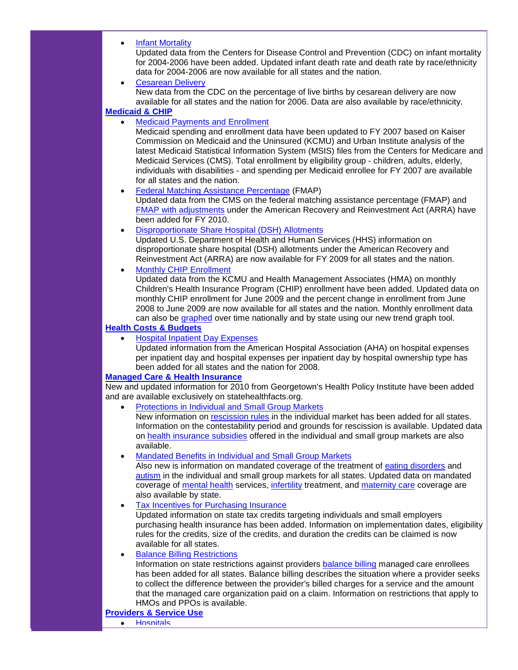• [Infant Mortality](http://r20.rs6.net/tn.jsp?t=9y6qmydab.0.w4wsmydab.5gytkqcab.1&ts=S0503&p=http%3A%2F%2Fsmtp01.kff.org%2Ft%2F11375%2F390862%2F11140%2F0%2F)

Updated data from the Centers for Disease Control and Prevention (CDC) on infant mortality for 2004-2006 have been added. Updated infant death rate and death rate by race/ethnicity data for 2004-2006 are now available for all states and the nation.

**[Cesarean Delivery](http://r20.rs6.net/tn.jsp?t=9y6qmydab.0.x4wsmydab.5gytkqcab.1&ts=S0503&p=http%3A%2F%2Fsmtp01.kff.org%2Ft%2F11375%2F390862%2F11141%2F0%2F)** New data from the CDC on the percentage of live births by cesarean delivery are now available for all states and the nation for 2006. Data are also available by race/ethnicity.

## **[Medicaid & CHIP](http://r20.rs6.net/tn.jsp?t=9y6qmydab.0.m4wsmydab.5gytkqcab.1&ts=S0503&p=http%3A%2F%2Fsmtp01.kff.org%2Ft%2F11375%2F390862%2F10552%2F0%2F)**

• [Medicaid Payments and Enrollment](http://r20.rs6.net/tn.jsp?t=9y6qmydab.0.y4wsmydab.5gytkqcab.1&ts=S0503&p=http%3A%2F%2Fsmtp01.kff.org%2Ft%2F11375%2F390862%2F11167%2F0%2F)

Medicaid spending and enrollment data have been updated to FY 2007 based on Kaiser Commission on Medicaid and the Uninsured (KCMU) and Urban Institute analysis of the latest Medicaid Statistical Information System (MSIS) files from the Centers for Medicare and Medicaid Services (CMS). Total enrollment by eligibility group - children, adults, elderly, individuals with disabilities - and spending per Medicaid enrollee for FY 2007 are available for all states and the nation.

- [Federal Matching Assistance Percentage](http://r20.rs6.net/tn.jsp?t=9y6qmydab.0.z4wsmydab.5gytkqcab.1&ts=S0503&p=http%3A%2F%2Fsmtp01.kff.org%2Ft%2F11375%2F390862%2F11143%2F0%2F) (FMAP) Updated data from the CMS on the federal matching assistance percentage (FMAP) and [FMAP with adjustments](http://r20.rs6.net/tn.jsp?t=9y6qmydab.0.94wsmydab.5gytkqcab.1&ts=S0503&p=http%3A%2F%2Fsmtp01.kff.org%2Ft%2F11375%2F390862%2F11168%2F0%2F) under the American Recovery and Reinvestment Act (ARRA) have been added for FY 2010.
- [Disproportionate Share Hospital \(DSH\) Allotments](http://r20.rs6.net/tn.jsp?t=9y6qmydab.0.84wsmydab.5gytkqcab.1&ts=S0503&p=http%3A%2F%2Fsmtp01.kff.org%2Ft%2F11375%2F390862%2F11144%2F0%2F)

Updated U.S. Department of Health and Human Services (HHS) information on disproportionate share hospital (DSH) allotments under the American Recovery and Reinvestment Act (ARRA) are now available for FY 2009 for all states and the nation.

• [Monthly CHIP Enrollment](http://r20.rs6.net/tn.jsp?t=9y6qmydab.0.74wsmydab.5gytkqcab.1&ts=S0503&p=http%3A%2F%2Fsmtp01.kff.org%2Ft%2F11375%2F390862%2F3027%2F0%2F)

Updated data from the KCMU and Health Management Associates (HMA) on monthly Children's Health Insurance Program (CHIP) enrollment have been added. Updated data on monthly CHIP enrollment for June 2009 and the percent change in enrollment from June 2008 to June 2009 are now available for all states and the nation. Monthly enrollment data can also be [graphed](http://r20.rs6.net/tn.jsp?t=9y6qmydab.0.64wsmydab.5gytkqcab.1&ts=S0503&p=http%3A%2F%2Fsmtp01.kff.org%2Ft%2F11375%2F390862%2F11159%2F0%2F) over time nationally and by state using our new trend graph tool.

## **[Health Costs & Budgets](http://r20.rs6.net/tn.jsp?t=9y6qmydab.0.o4wsmydab.5gytkqcab.1&ts=S0503&p=http%3A%2F%2Fsmtp01.kff.org%2Ft%2F11375%2F390862%2F11156%2F0%2F)**

• [Hospital Inpatient Day Expenses](http://r20.rs6.net/tn.jsp?t=9y6qmydab.0.54wsmydab.5gytkqcab.1&ts=S0503&p=http%3A%2F%2Fsmtp01.kff.org%2Ft%2F11375%2F390862%2F11145%2F0%2F)

Updated information from the American Hospital Association (AHA) on hospital expenses per inpatient day and hospital expenses per inpatient day by hospital ownership type has been added for all states and the nation for 2008.

#### **[Managed Care & Health Insurance](http://r20.rs6.net/tn.jsp?t=9y6qmydab.0.n4wsmydab.5gytkqcab.1&ts=S0503&p=http%3A%2F%2Fsmtp01.kff.org%2Ft%2F11375%2F390862%2F11155%2F0%2F)**

New and updated information for 2010 from Georgetown's Health Policy Institute have been added and are available exclusively on statehealthfacts.org.

• [Protections in Individual and Small Group Markets](http://r20.rs6.net/tn.jsp?t=9y6qmydab.0.44wsmydab.5gytkqcab.1&ts=S0503&p=http%3A%2F%2Fsmtp01.kff.org%2Ft%2F11375%2F390862%2F11146%2F0%2F)

New information on [rescission rules](http://r20.rs6.net/tn.jsp?t=9y6qmydab.0.44wsmydab.5gytkqcab.1&ts=S0503&p=http%3A%2F%2Fsmtp01.kff.org%2Ft%2F11375%2F390862%2F11146%2F0%2F) in the individual market has been added for all states. Information on the contestability period and grounds for rescission is available. Updated data on [health insurance subsidies](http://r20.rs6.net/tn.jsp?t=9y6qmydab.0.aaxsmydab.5gytkqcab.1&ts=S0503&p=http%3A%2F%2Fsmtp01.kff.org%2Ft%2F11375%2F390862%2F11160%2F0%2F) offered in the individual and small group markets are also available.

• [Mandated Benefits in Individual and Small Group Markets](http://r20.rs6.net/tn.jsp?t=9y6qmydab.0.baxsmydab.5gytkqcab.1&ts=S0503&p=http%3A%2F%2Fsmtp01.kff.org%2Ft%2F11375%2F390862%2F11147%2F0%2F) 

Also new is information on mandated coverage of the treatment of [eating disorders](http://r20.rs6.net/tn.jsp?t=9y6qmydab.0.baxsmydab.5gytkqcab.1&ts=S0503&p=http%3A%2F%2Fsmtp01.kff.org%2Ft%2F11375%2F390862%2F11147%2F0%2F) and [autism](http://r20.rs6.net/tn.jsp?t=9y6qmydab.0.caxsmydab.5gytkqcab.1&ts=S0503&p=http%3A%2F%2Fsmtp01.kff.org%2Ft%2F11375%2F390862%2F11161%2F0%2F) in the individual and small group markets for all states. Updated data on mandated coverage of [mental health](http://r20.rs6.net/tn.jsp?t=9y6qmydab.0.daxsmydab.5gytkqcab.1&ts=S0503&p=http%3A%2F%2Fsmtp01.kff.org%2Ft%2F11375%2F390862%2F11162%2F0%2F) services, [infertility](http://r20.rs6.net/tn.jsp?t=9y6qmydab.0.eaxsmydab.5gytkqcab.1&ts=S0503&p=http%3A%2F%2Fsmtp01.kff.org%2Ft%2F11375%2F390862%2F11163%2F0%2F) treatment, and [maternity care](http://r20.rs6.net/tn.jsp?t=9y6qmydab.0.faxsmydab.5gytkqcab.1&ts=S0503&p=http%3A%2F%2Fsmtp01.kff.org%2Ft%2F11375%2F390862%2F11164%2F0%2F) coverage are also available by state.

• [Tax Incentives for Purchasing Insurance](http://r20.rs6.net/tn.jsp?t=9y6qmydab.0.gaxsmydab.5gytkqcab.1&ts=S0503&p=http%3A%2F%2Fsmtp01.kff.org%2Ft%2F11375%2F390862%2F11148%2F0%2F)

Updated information on state tax credits targeting individuals and small employers purchasing health insurance has been added. Information on implementation dates, eligibility rules for the credits, size of the credits, and duration the credits can be claimed is now available for all states.

#### **[Balance Billing Restrictions](http://r20.rs6.net/tn.jsp?t=9y6qmydab.0.haxsmydab.5gytkqcab.1&ts=S0503&p=http%3A%2F%2Fsmtp01.kff.org%2Ft%2F11375%2F390862%2F11149%2F0%2F)**

Information on state restrictions against providers [balance billing](http://r20.rs6.net/tn.jsp?t=9y6qmydab.0.haxsmydab.5gytkqcab.1&ts=S0503&p=http%3A%2F%2Fsmtp01.kff.org%2Ft%2F11375%2F390862%2F11149%2F0%2F) managed care enrollees has been added for all states. Balance billing describes the situation where a provider seeks to collect the difference between the provider's billed charges for a service and the amount that the managed care organization paid on a claim. Information on restrictions that apply to HMOs and PPOs is available.

#### **[Providers & Service Use](http://r20.rs6.net/tn.jsp?t=9y6qmydab.0.p4wsmydab.5gytkqcab.1&ts=S0503&p=http%3A%2F%2Fsmtp01.kff.org%2Ft%2F11375%2F390862%2F11157%2F0%2F)**

• [Hospitals](http://r20.rs6.net/tn.jsp?t=9y6qmydab.0.iaxsmydab.5gytkqcab.1&ts=S0503&p=http%3A%2F%2Fsmtp01.kff.org%2Ft%2F11375%2F390862%2F11150%2F0%2F)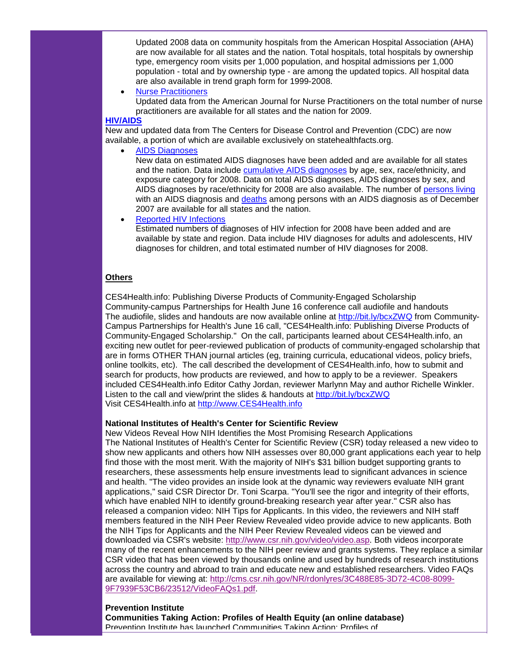Updated 2008 data on community hospitals from the American Hospital Association (AHA) are now available for all states and the nation. Total hospitals, total hospitals by ownership type, emergency room visits per 1,000 population, and hospital admissions per 1,000 population - total and by ownership type - are among the updated topics. All hospital data are also available in trend graph form for 1999-2008.

• [Nurse Practitioners](http://r20.rs6.net/tn.jsp?t=9y6qmydab.0.jaxsmydab.5gytkqcab.1&ts=S0503&p=http%3A%2F%2Fsmtp01.kff.org%2Ft%2F11375%2F390862%2F3015%2F0%2F)

Updated data from the American Journal for Nurse Practitioners on the total number of nurse practitioners are available for all states and the nation for 2009.

#### **[HIV/AIDS](http://r20.rs6.net/tn.jsp?t=9y6qmydab.0.q4wsmydab.5gytkqcab.1&ts=S0503&p=http%3A%2F%2Fsmtp01.kff.org%2Ft%2F11375%2F390862%2F11158%2F0%2F)**

New and updated data from The Centers for Disease Control and Prevention (CDC) are now available, a portion of which are available exclusively on statehealthfacts.org.

• [AIDS Diagnoses](http://r20.rs6.net/tn.jsp?t=9y6qmydab.0.kaxsmydab.5gytkqcab.1&ts=S0503&p=http%3A%2F%2Fsmtp01.kff.org%2Ft%2F11375%2F390862%2F11151%2F0%2F)

New data on estimated AIDS diagnoses have been added and are available for all states and the nation. Data include [cumulative AIDS diagnoses](http://r20.rs6.net/tn.jsp?t=9y6qmydab.0.kaxsmydab.5gytkqcab.1&ts=S0503&p=http%3A%2F%2Fsmtp01.kff.org%2Ft%2F11375%2F390862%2F11151%2F0%2F) by age, sex, race/ethnicity, and exposure category for 2008. Data on total AIDS diagnoses, AIDS diagnoses by sex, and AIDS diagnoses by race/ethnicity for 2008 are also available. The number of [persons living](http://r20.rs6.net/tn.jsp?t=9y6qmydab.0.laxsmydab.5gytkqcab.1&ts=S0503&p=http%3A%2F%2Fsmtp01.kff.org%2Ft%2F11375%2F390862%2F11165%2F0%2F) with an AIDS diagnosis and [deaths](http://r20.rs6.net/tn.jsp?t=9y6qmydab.0.maxsmydab.5gytkqcab.1&ts=S0503&p=http%3A%2F%2Fsmtp01.kff.org%2Ft%2F11375%2F390862%2F11166%2F0%2F) among persons with an AIDS diagnosis as of December 2007 are available for all states and the nation.

• [Reported HIV Infections](http://r20.rs6.net/tn.jsp?t=9y6qmydab.0.naxsmydab.5gytkqcab.1&ts=S0503&p=http%3A%2F%2Fsmtp01.kff.org%2Ft%2F11375%2F390862%2F11152%2F0%2F)

Estimated numbers of diagnoses of HIV infection for 2008 have been added and are available by state and region. Data include HIV diagnoses for adults and adolescents, HIV diagnoses for children, and total estimated number of HIV diagnoses for 2008.

#### **Others**

CES4Health.info: Publishing Diverse Products of Community-Engaged Scholarship Community-campus Partnerships for Health June 16 conference call audiofile and handouts The audiofile, slides and handouts are now available online at [http://bit.ly/bcxZWQ](http://r20.rs6.net/tn.jsp?t=9y6qmydab.0.oaxsmydab.5gytkqcab.1&ts=S0503&p=http%3A%2F%2Fbit.ly%2FbcxZWQ) from Community-Campus Partnerships for Health's June 16 call, "CES4Health.info: Publishing Diverse Products of Community-Engaged Scholarship." On the call, participants learned about CES4Health.info, an exciting new outlet for peer-reviewed publication of products of community-engaged scholarship that are in forms OTHER THAN journal articles (eg, training curricula, educational videos, policy briefs, online toolkits, etc). The call described the development of CES4Health.info, how to submit and search for products, how products are reviewed, and how to apply to be a reviewer. Speakers included CES4Health.info Editor Cathy Jordan, reviewer Marlynn May and author Richelle Winkler. Listen to the call and view/print the slides & handouts at [http://bit.ly/bcxZWQ](http://r20.rs6.net/tn.jsp?t=9y6qmydab.0.oaxsmydab.5gytkqcab.1&ts=S0503&p=http%3A%2F%2Fbit.ly%2FbcxZWQ) Visit CES4Health.info at [http://www.CES4Health.info](http://r20.rs6.net/tn.jsp?t=9y6qmydab.0.l6znv6cab.5gytkqcab.1&ts=S0503&p=http%3A%2F%2Fwww.ces4health.info%2F)

## **National Institutes of Health's Center for Scientific Review**

New Videos Reveal How NIH Identifies the Most Promising Research Applications The National Institutes of Health's Center for Scientific Review (CSR) today released a new video to show new applicants and others how NIH assesses over 80,000 grant applications each year to help find those with the most merit. With the majority of NIH's \$31 billion budget supporting grants to researchers, these assessments help ensure investments lead to significant advances in science and health. "The video provides an inside look at the dynamic way reviewers evaluate NIH grant applications," said CSR Director Dr. Toni Scarpa. "You'll see the rigor and integrity of their efforts, which have enabled NIH to identify ground-breaking research year after year." CSR also has released a companion video: NIH Tips for Applicants. In this video, the reviewers and NIH staff members featured in the NIH Peer Review Revealed video provide advice to new applicants. Both the NIH Tips for Applicants and the NIH Peer Review Revealed videos can be viewed and downloaded via CSR's website: [http://www.csr.nih.gov/video/video.asp.](http://r20.rs6.net/tn.jsp?t=9y6qmydab.0.paxsmydab.5gytkqcab.1&ts=S0503&p=http%3A%2F%2Fwww.csr.nih.gov%2Fvideo%2Fvideo.asp) Both videos incorporate many of the recent enhancements to the NIH peer review and grants systems. They replace a similar CSR video that has been viewed by thousands online and used by hundreds of research institutions across the country and abroad to train and educate new and established researchers. Video FAQs are available for viewing at: [http://cms.csr.nih.gov/NR/rdonlyres/3C488E85-3D72-4C08-8099-](http://r20.rs6.net/tn.jsp?t=9y6qmydab.0.qaxsmydab.5gytkqcab.1&ts=S0503&p=http%3A%2F%2Fcms.csr.nih.gov%2FNR%2Frdonlyres%2F3C488E85-3D72-4C08-8099-9F7939F53CB6%2F23512%2FVideoFAQs1.pdf) [9F7939F53CB6/23512/VideoFAQs1.pdf.](http://r20.rs6.net/tn.jsp?t=9y6qmydab.0.qaxsmydab.5gytkqcab.1&ts=S0503&p=http%3A%2F%2Fcms.csr.nih.gov%2FNR%2Frdonlyres%2F3C488E85-3D72-4C08-8099-9F7939F53CB6%2F23512%2FVideoFAQs1.pdf)

#### **Prevention Institute**

**Communities Taking Action: Profiles of Health Equity (an online database)** Prevention Institute has launched Communities Taking Action: Profiles of